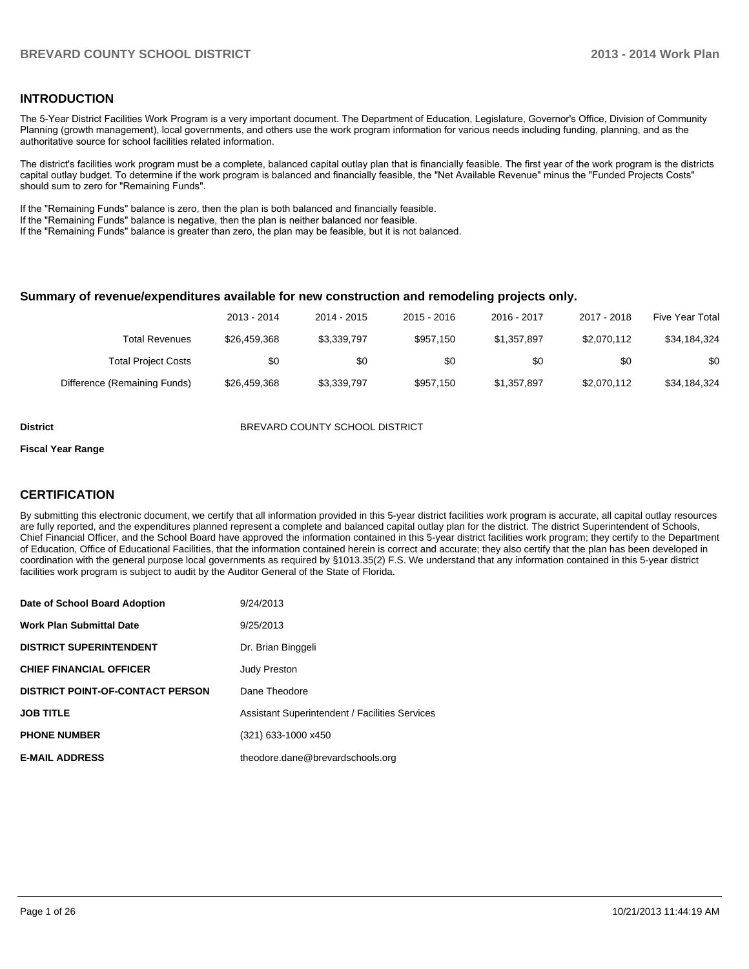#### **INTRODUCTION**

The 5-Year District Facilities Work Program is a very important document. The Department of Education, Legislature, Governor's Office, Division of Community Planning (growth management), local governments, and others use the work program information for various needs including funding, planning, and as the authoritative source for school facilities related information.

The district's facilities work program must be a complete, balanced capital outlay plan that is financially feasible. The first year of the work program is the districts capital outlay budget. To determine if the work program is balanced and financially feasible, the "Net Available Revenue" minus the "Funded Projects Costs" should sum to zero for "Remaining Funds".

If the "Remaining Funds" balance is zero, then the plan is both balanced and financially feasible.

If the "Remaining Funds" balance is negative, then the plan is neither balanced nor feasible.

If the "Remaining Funds" balance is greater than zero, the plan may be feasible, but it is not balanced.

#### **Summary of revenue/expenditures available for new construction and remodeling projects only.**

| Five Year Total | 2017 - 2018 | 2016 - 2017 | 2015 - 2016 | 2014 - 2015 | 2013 - 2014  |                              |
|-----------------|-------------|-------------|-------------|-------------|--------------|------------------------------|
| \$34,184,324    | \$2,070,112 | \$1,357,897 | \$957.150   | \$3,339,797 | \$26.459.368 | Total Revenues               |
| \$0             | \$0         | \$0         | \$0         | \$0         | \$0          | <b>Total Project Costs</b>   |
| \$34,184,324    | \$2,070,112 | \$1,357,897 | \$957.150   | \$3,339,797 | \$26.459.368 | Difference (Remaining Funds) |

#### **District BREVARD COUNTY SCHOOL DISTRICT**

#### **Fiscal Year Range**

#### **CERTIFICATION**

By submitting this electronic document, we certify that all information provided in this 5-year district facilities work program is accurate, all capital outlay resources are fully reported, and the expenditures planned represent a complete and balanced capital outlay plan for the district. The district Superintendent of Schools, Chief Financial Officer, and the School Board have approved the information contained in this 5-year district facilities work program; they certify to the Department of Education, Office of Educational Facilities, that the information contained herein is correct and accurate; they also certify that the plan has been developed in coordination with the general purpose local governments as required by §1013.35(2) F.S. We understand that any information contained in this 5-year district facilities work program is subject to audit by the Auditor General of the State of Florida.

| Date of School Board Adoption           | 9/24/2013                                      |
|-----------------------------------------|------------------------------------------------|
| <b>Work Plan Submittal Date</b>         | 9/25/2013                                      |
| <b>DISTRICT SUPERINTENDENT</b>          | Dr. Brian Binggeli                             |
| <b>CHIEF FINANCIAL OFFICER</b>          | <b>Judy Preston</b>                            |
| <b>DISTRICT POINT-OF-CONTACT PERSON</b> | Dane Theodore                                  |
| <b>JOB TITLE</b>                        | Assistant Superintendent / Facilities Services |
| <b>PHONE NUMBER</b>                     | (321) 633-1000 x450                            |
| <b>E-MAIL ADDRESS</b>                   | theodore.dane@brevardschools.org               |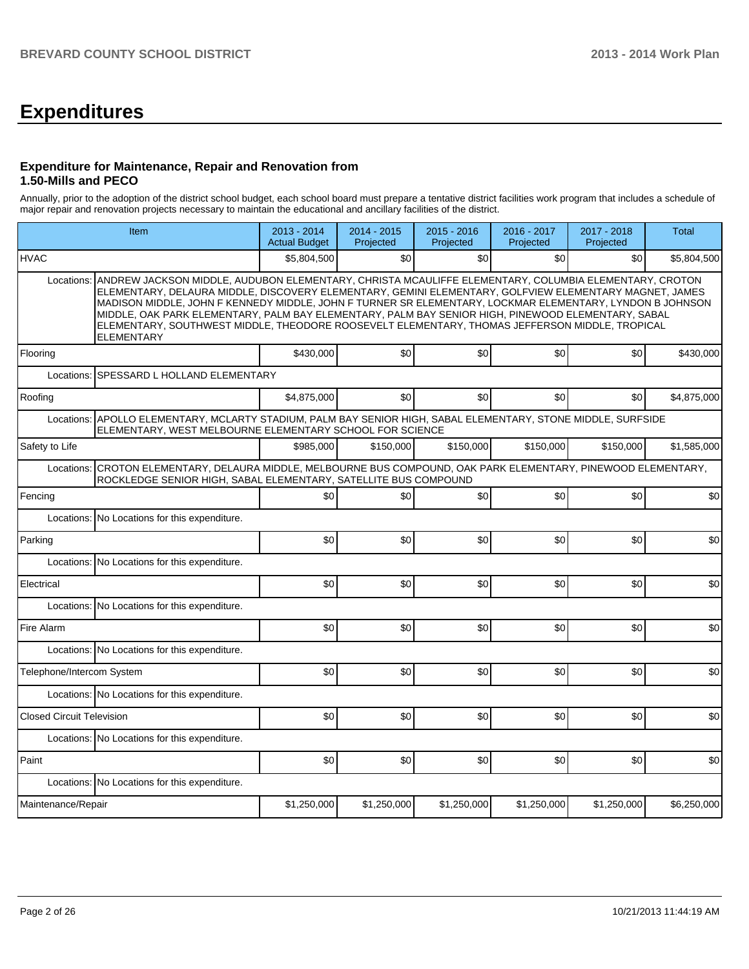# **Expenditures**

#### **Expenditure for Maintenance, Repair and Renovation from 1.50-Mills and PECO**

Annually, prior to the adoption of the district school budget, each school board must prepare a tentative district facilities work program that includes a schedule of major repair and renovation projects necessary to maintain the educational and ancillary facilities of the district.

| Item                                                                                                                                                                                  |                                                                                                                                                                                                                                                                                                                                                                                                                                                                                                                                                  | 2013 - 2014<br><b>Actual Budget</b> | 2014 - 2015<br>Projected | $2015 - 2016$<br>Projected | 2016 - 2017<br>Projected | 2017 - 2018<br>Projected | Total       |  |  |  |  |
|---------------------------------------------------------------------------------------------------------------------------------------------------------------------------------------|--------------------------------------------------------------------------------------------------------------------------------------------------------------------------------------------------------------------------------------------------------------------------------------------------------------------------------------------------------------------------------------------------------------------------------------------------------------------------------------------------------------------------------------------------|-------------------------------------|--------------------------|----------------------------|--------------------------|--------------------------|-------------|--|--|--|--|
| <b>HVAC</b>                                                                                                                                                                           |                                                                                                                                                                                                                                                                                                                                                                                                                                                                                                                                                  | \$5,804,500                         | \$0                      | \$0                        | \$0                      | \$0                      | \$5,804,500 |  |  |  |  |
| Locations:                                                                                                                                                                            | ANDREW JACKSON MIDDLE, AUDUBON ELEMENTARY, CHRISTA MCAULIFFE ELEMENTARY, COLUMBIA ELEMENTARY, CROTON<br>ELEMENTARY, DELAURA MIDDLE, DISCOVERY ELEMENTARY, GEMINI ELEMENTARY, GOLFVIEW ELEMENTARY MAGNET, JAMES<br>MADISON MIDDLE, JOHN F KENNEDY MIDDLE, JOHN F TURNER SR ELEMENTARY, LOCKMAR ELEMENTARY, LYNDON B JOHNSON<br>MIDDLE, OAK PARK ELEMENTARY, PALM BAY ELEMENTARY, PALM BAY SENIOR HIGH, PINEWOOD ELEMENTARY, SABAL<br>ELEMENTARY, SOUTHWEST MIDDLE, THEODORE ROOSEVELT ELEMENTARY, THOMAS JEFFERSON MIDDLE, TROPICAL<br>ELEMENTARY |                                     |                          |                            |                          |                          |             |  |  |  |  |
| Flooring                                                                                                                                                                              |                                                                                                                                                                                                                                                                                                                                                                                                                                                                                                                                                  | \$430,000                           | \$0                      | \$0                        | \$0                      | \$0                      | \$430.000   |  |  |  |  |
| Locations:                                                                                                                                                                            | SPESSARD L HOLLAND ELEMENTARY                                                                                                                                                                                                                                                                                                                                                                                                                                                                                                                    |                                     |                          |                            |                          |                          |             |  |  |  |  |
| Roofing                                                                                                                                                                               |                                                                                                                                                                                                                                                                                                                                                                                                                                                                                                                                                  | \$4,875,000                         | \$0                      | \$0                        | \$0                      | \$0                      | \$4,875,000 |  |  |  |  |
| Locations:                                                                                                                                                                            | APOLLO ELEMENTARY, MCLARTY STADIUM, PALM BAY SENIOR HIGH, SABAL ELEMENTARY, STONE MIDDLE, SURFSIDE<br>ELEMENTARY, WEST MELBOURNE ELEMENTARY SCHOOL FOR SCIENCE                                                                                                                                                                                                                                                                                                                                                                                   |                                     |                          |                            |                          |                          |             |  |  |  |  |
| Safety to Life                                                                                                                                                                        |                                                                                                                                                                                                                                                                                                                                                                                                                                                                                                                                                  | \$985.000                           | \$150,000                | \$150,000                  | \$150,000                | \$150,000                | \$1.585.000 |  |  |  |  |
| CROTON ELEMENTARY, DELAURA MIDDLE, MELBOURNE BUS COMPOUND, OAK PARK ELEMENTARY, PINEWOOD ELEMENTARY,<br>Locations:<br>ROCKLEDGE SENIOR HIGH, SABAL ELEMENTARY, SATELLITE BUS COMPOUND |                                                                                                                                                                                                                                                                                                                                                                                                                                                                                                                                                  |                                     |                          |                            |                          |                          |             |  |  |  |  |
| Fencing                                                                                                                                                                               |                                                                                                                                                                                                                                                                                                                                                                                                                                                                                                                                                  | \$0                                 | \$0                      | \$0                        | \$0                      | \$0                      | \$0         |  |  |  |  |
|                                                                                                                                                                                       | Locations: No Locations for this expenditure.                                                                                                                                                                                                                                                                                                                                                                                                                                                                                                    |                                     |                          |                            |                          |                          |             |  |  |  |  |
| Parking                                                                                                                                                                               |                                                                                                                                                                                                                                                                                                                                                                                                                                                                                                                                                  | \$0                                 | \$0                      | \$0                        | \$0                      | \$0                      | \$0         |  |  |  |  |
|                                                                                                                                                                                       | Locations: No Locations for this expenditure.                                                                                                                                                                                                                                                                                                                                                                                                                                                                                                    |                                     |                          |                            |                          |                          |             |  |  |  |  |
| Electrical                                                                                                                                                                            |                                                                                                                                                                                                                                                                                                                                                                                                                                                                                                                                                  | \$0                                 | \$0                      | \$0                        | \$0                      | \$0                      | \$0         |  |  |  |  |
|                                                                                                                                                                                       | Locations: No Locations for this expenditure.                                                                                                                                                                                                                                                                                                                                                                                                                                                                                                    |                                     |                          |                            |                          |                          |             |  |  |  |  |
| Fire Alarm                                                                                                                                                                            |                                                                                                                                                                                                                                                                                                                                                                                                                                                                                                                                                  | \$0                                 | \$0                      | \$0                        | \$0                      | \$0                      | \$0         |  |  |  |  |
|                                                                                                                                                                                       | Locations: No Locations for this expenditure.                                                                                                                                                                                                                                                                                                                                                                                                                                                                                                    |                                     |                          |                            |                          |                          |             |  |  |  |  |
| Telephone/Intercom System                                                                                                                                                             |                                                                                                                                                                                                                                                                                                                                                                                                                                                                                                                                                  | \$0                                 | \$0                      | \$0                        | \$0                      | \$0                      | \$0         |  |  |  |  |
|                                                                                                                                                                                       | Locations: No Locations for this expenditure.                                                                                                                                                                                                                                                                                                                                                                                                                                                                                                    |                                     |                          |                            |                          |                          |             |  |  |  |  |
| <b>Closed Circuit Television</b>                                                                                                                                                      |                                                                                                                                                                                                                                                                                                                                                                                                                                                                                                                                                  | \$0                                 | \$0                      | \$0                        | \$0                      | \$0                      | \$0         |  |  |  |  |
|                                                                                                                                                                                       | Locations: No Locations for this expenditure.                                                                                                                                                                                                                                                                                                                                                                                                                                                                                                    |                                     |                          |                            |                          |                          |             |  |  |  |  |
| Paint                                                                                                                                                                                 |                                                                                                                                                                                                                                                                                                                                                                                                                                                                                                                                                  | \$0                                 | \$0                      | \$0                        | \$0                      | \$0                      | \$0         |  |  |  |  |
|                                                                                                                                                                                       | Locations: No Locations for this expenditure.                                                                                                                                                                                                                                                                                                                                                                                                                                                                                                    |                                     |                          |                            |                          |                          |             |  |  |  |  |
| Maintenance/Repair                                                                                                                                                                    |                                                                                                                                                                                                                                                                                                                                                                                                                                                                                                                                                  | \$1,250,000                         | \$1,250,000              | \$1,250,000                | \$1,250,000              | \$1,250,000              | \$6,250,000 |  |  |  |  |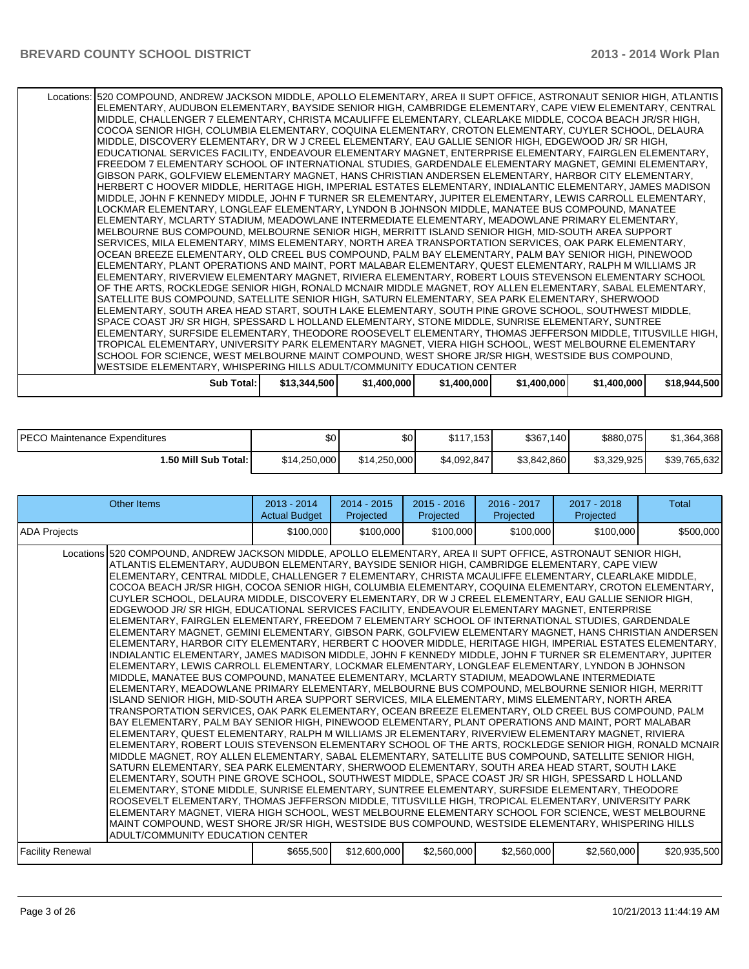| Locations: 520 COMPOUND, ANDREW JACKSON MIDDLE, APOLLO ELEMENTARY, AREA II SUPT OFFICE, ASTRONAUT SENIOR HIGH, ATLANTIS<br>ELEMENTARY, AUDUBON ELEMENTARY, BAYSIDE SENIOR HIGH, CAMBRIDGE ELEMENTARY, CAPE VIEW ELEMENTARY, CENTRAL |              |             |             |             |             |              |
|-------------------------------------------------------------------------------------------------------------------------------------------------------------------------------------------------------------------------------------|--------------|-------------|-------------|-------------|-------------|--------------|
|                                                                                                                                                                                                                                     |              |             |             |             |             |              |
| MIDDLE, CHALLENGER 7 ELEMENTARY, CHRISTA MCAULIFFE ELEMENTARY, CLEARLAKE MIDDLE, COCOA BEACH JR/SR HIGH,                                                                                                                            |              |             |             |             |             |              |
| COCOA SENIOR HIGH, COLUMBIA ELEMENTARY, COQUINA ELEMENTARY, CROTON ELEMENTARY, CUYLER SCHOOL, DELAURA                                                                                                                               |              |             |             |             |             |              |
| MIDDLE, DISCOVERY ELEMENTARY, DR W J CREEL ELEMENTARY, EAU GALLIE SENIOR HIGH, EDGEWOOD JR/ SR HIGH,                                                                                                                                |              |             |             |             |             |              |
| EDUCATIONAL SERVICES FACILITY, ENDEAVOUR ELEMENTARY MAGNET, ENTERPRISE ELEMENTARY, FAIRGLEN ELEMENTARY,                                                                                                                             |              |             |             |             |             |              |
| FREEDOM 7 ELEMENTARY SCHOOL OF INTERNATIONAL STUDIES, GARDENDALE ELEMENTARY MAGNET, GEMINI ELEMENTARY,                                                                                                                              |              |             |             |             |             |              |
| GIBSON PARK, GOLFVIEW ELEMENTARY MAGNET, HANS CHRISTIAN ANDERSEN ELEMENTARY, HARBOR CITY ELEMENTARY,                                                                                                                                |              |             |             |             |             |              |
| HERBERT C HOOVER MIDDLE, HERITAGE HIGH, IMPERIAL ESTATES ELEMENTARY, INDIALANTIC ELEMENTARY, JAMES MADISON                                                                                                                          |              |             |             |             |             |              |
| MIDDLE, JOHN F KENNEDY MIDDLE, JOHN F TURNER SR ELEMENTARY, JUPITER ELEMENTARY, LEWIS CARROLL ELEMENTARY,                                                                                                                           |              |             |             |             |             |              |
| LOCKMAR ELEMENTARY, LONGLEAF ELEMENTARY, LYNDON B JOHNSON MIDDLE, MANATEE BUS COMPOUND, MANATEE                                                                                                                                     |              |             |             |             |             |              |
| ELEMENTARY, MCLARTY STADIUM, MEADOWLANE INTERMEDIATE ELEMENTARY, MEADOWLANE PRIMARY ELEMENTARY,                                                                                                                                     |              |             |             |             |             |              |
| MELBOURNE BUS COMPOUND, MELBOURNE SENIOR HIGH, MERRITT ISLAND SENIOR HIGH, MID-SOUTH AREA SUPPORT                                                                                                                                   |              |             |             |             |             |              |
| SERVICES, MILA ELEMENTARY, MIMS ELEMENTARY, NORTH AREA TRANSPORTATION SERVICES, OAK PARK ELEMENTARY,                                                                                                                                |              |             |             |             |             |              |
| OCEAN BREEZE ELEMENTARY, OLD CREEL BUS COMPOUND, PALM BAY ELEMENTARY, PALM BAY SENIOR HIGH, PINEWOOD                                                                                                                                |              |             |             |             |             |              |
| ELEMENTARY, PLANT OPERATIONS AND MAINT, PORT MALABAR ELEMENTARY, QUEST ELEMENTARY, RALPH M WILLIAMS JR                                                                                                                              |              |             |             |             |             |              |
| ELEMENTARY, RIVERVIEW ELEMENTARY MAGNET, RIVIERA ELEMENTARY, ROBERT LOUIS STEVENSON ELEMENTARY SCHOOL                                                                                                                               |              |             |             |             |             |              |
| OF THE ARTS, ROCKLEDGE SENIOR HIGH, RONALD MCNAIR MIDDLE MAGNET, ROY ALLEN ELEMENTARY, SABAL ELEMENTARY,                                                                                                                            |              |             |             |             |             |              |
| SATELLITE BUS COMPOUND, SATELLITE SENIOR HIGH, SATURN ELEMENTARY, SEA PARK ELEMENTARY, SHERWOOD                                                                                                                                     |              |             |             |             |             |              |
|                                                                                                                                                                                                                                     |              |             |             |             |             |              |
| ELEMENTARY, SOUTH AREA HEAD START, SOUTH LAKE ELEMENTARY, SOUTH PINE GROVE SCHOOL, SOUTHWEST MIDDLE,                                                                                                                                |              |             |             |             |             |              |
| SPACE COAST JR/ SR HIGH, SPESSARD L HOLLAND ELEMENTARY, STONE MIDDLE, SUNRISE ELEMENTARY, SUNTREE                                                                                                                                   |              |             |             |             |             |              |
| ELEMENTARY, SURFSIDE ELEMENTARY, THEODORE ROOSEVELT ELEMENTARY, THOMAS JEFFERSON MIDDLE, TITUSVILLE HIGH,                                                                                                                           |              |             |             |             |             |              |
| TROPICAL ELEMENTARY, UNIVERSITY PARK ELEMENTARY MAGNET, VIERA HIGH SCHOOL, WEST MELBOURNE ELEMENTARY                                                                                                                                |              |             |             |             |             |              |
| SCHOOL FOR SCIENCE, WEST MELBOURNE MAINT COMPOUND, WEST SHORE JR/SR HIGH, WESTSIDE BUS COMPOUND,                                                                                                                                    |              |             |             |             |             |              |
| WESTSIDE ELEMENTARY, WHISPERING HILLS ADULT/COMMUNITY EDUCATION CENTER                                                                                                                                                              |              |             |             |             |             |              |
| Sub Total: I                                                                                                                                                                                                                        | \$13,344,500 | \$1,400,000 | \$1,400,000 | \$1,400,000 | \$1,400,000 | \$18,944,500 |
|                                                                                                                                                                                                                                     |              |             |             |             |             |              |

| PECO Maintenance Expenditures | \$0          | \$0          | \$117,153   | \$367,140   | \$880,075   | \$1,364,368  |
|-------------------------------|--------------|--------------|-------------|-------------|-------------|--------------|
| 50 Mill Sub Total: I          | \$14,250,000 | \$14,250,000 | \$4.092.847 | \$3.842.860 | \$3.329.925 | \$39,765,632 |

| <b>Other Items</b>                                                                                                                                                                                                                                                                                                                                                                                                                                                                                                                                                                                                                                                                                                                                                                                                                                                                                                                                                                                                                                                                                                                                                                                                                                                                                                                                                                                                                                                                                                                                                                                                                                                                                                                                                                                                                                                                                                                                                                                                                                                                                                                                                                                                                                                                                                                                                                                                                                                                                                                                                                                                                                                                                               | $2013 - 2014$<br><b>Actual Budget</b> | $2014 - 2015$<br>Projected | $2015 - 2016$<br>Projected | $2016 - 2017$<br>Projected | $2017 - 2018$<br>Projected | <b>Total</b> |
|------------------------------------------------------------------------------------------------------------------------------------------------------------------------------------------------------------------------------------------------------------------------------------------------------------------------------------------------------------------------------------------------------------------------------------------------------------------------------------------------------------------------------------------------------------------------------------------------------------------------------------------------------------------------------------------------------------------------------------------------------------------------------------------------------------------------------------------------------------------------------------------------------------------------------------------------------------------------------------------------------------------------------------------------------------------------------------------------------------------------------------------------------------------------------------------------------------------------------------------------------------------------------------------------------------------------------------------------------------------------------------------------------------------------------------------------------------------------------------------------------------------------------------------------------------------------------------------------------------------------------------------------------------------------------------------------------------------------------------------------------------------------------------------------------------------------------------------------------------------------------------------------------------------------------------------------------------------------------------------------------------------------------------------------------------------------------------------------------------------------------------------------------------------------------------------------------------------------------------------------------------------------------------------------------------------------------------------------------------------------------------------------------------------------------------------------------------------------------------------------------------------------------------------------------------------------------------------------------------------------------------------------------------------------------------------------------------------|---------------------------------------|----------------------------|----------------------------|----------------------------|----------------------------|--------------|
| <b>ADA Projects</b>                                                                                                                                                                                                                                                                                                                                                                                                                                                                                                                                                                                                                                                                                                                                                                                                                                                                                                                                                                                                                                                                                                                                                                                                                                                                                                                                                                                                                                                                                                                                                                                                                                                                                                                                                                                                                                                                                                                                                                                                                                                                                                                                                                                                                                                                                                                                                                                                                                                                                                                                                                                                                                                                                              | \$100,000                             | \$100,000                  | \$100,000                  | \$100,000                  | \$100,000                  | \$500,000    |
| Locations 520 COMPOUND, ANDREW JACKSON MIDDLE, APOLLO ELEMENTARY, AREA II SUPT OFFICE, ASTRONAUT SENIOR HIGH,<br>ATLANTIS ELEMENTARY. AUDUBON ELEMENTARY. BAYSIDE SENIOR HIGH. CAMBRIDGE ELEMENTARY. CAPE VIEW<br>ELEMENTARY, CENTRAL MIDDLE, CHALLENGER 7 ELEMENTARY, CHRISTA MCAULIFFE ELEMENTARY, CLEARLAKE MIDDLE,<br>COCOA BEACH JR/SR HIGH, COCOA SENIOR HIGH, COLUMBIA ELEMENTARY, COQUINA ELEMENTARY, CROTON ELEMENTARY,<br>CUYLER SCHOOL, DELAURA MIDDLE, DISCOVERY ELEMENTARY, DR W J CREEL ELEMENTARY, EAU GALLIE SENIOR HIGH,<br>EDGEWOOD JR/ SR HIGH. EDUCATIONAL SERVICES FACILITY. ENDEAVOUR ELEMENTARY MAGNET. ENTERPRISE<br>ELEMENTARY. FAIRGLEN ELEMENTARY. FREEDOM 7 ELEMENTARY SCHOOL OF INTERNATIONAL STUDIES. GARDENDALE<br> ELEMENTARY MAGNET, GEMINI ELEMENTARY, GIBSON PARK, GOLFVIEW ELEMENTARY MAGNET, HANS CHRISTIAN ANDERSEN  <br>IELEMENTARY. HARBOR CITY ELEMENTARY. HERBERT C HOOVER MIDDLE. HERITAGE HIGH. IMPERIAL ESTATES ELEMENTARY. I<br>IINDIALANTIC ELEMENTARY. JAMES MADISON MIDDLE. JOHN F KENNEDY MIDDLE. JOHN F TURNER SR ELEMENTARY. JUPITER<br>IELEMENTARY. LEWIS CARROLL ELEMENTARY. LOCKMAR ELEMENTARY. LONGLEAF ELEMENTARY. LYNDON B JOHNSON<br>MIDDLE, MANATEE BUS COMPOUND, MANATEE ELEMENTARY, MCLARTY STADIUM, MEADOWLANE INTERMEDIATE<br>ELEMENTARY. MEADOWLANE PRIMARY ELEMENTARY. MELBOURNE BUS COMPOUND. MELBOURNE SENIOR HIGH. MERRITT<br>ISLAND SENIOR HIGH, MID-SOUTH AREA SUPPORT SERVICES, MILA ELEMENTARY, MIMS ELEMENTARY, NORTH AREA<br>TRANSPORTATION SERVICES, OAK PARK ELEMENTARY, OCEAN BREEZE ELEMENTARY, OLD CREEL BUS COMPOUND, PALM<br>BAY ELEMENTARY, PALM BAY SENIOR HIGH, PINEWOOD ELEMENTARY, PLANT OPERATIONS AND MAINT, PORT MALABAR<br>ELEMENTARY, QUEST ELEMENTARY, RALPH M WILLIAMS JR ELEMENTARY, RIVERVIEW ELEMENTARY MAGNET, RIVIERA<br>ELEMENTARY, ROBERT LOUIS STEVENSON ELEMENTARY SCHOOL OF THE ARTS, ROCKLEDGE SENIOR HIGH, RONALD MCNAIR<br>MIDDLE MAGNET, ROY ALLEN ELEMENTARY, SABAL ELEMENTARY, SATELLITE BUS COMPOUND, SATELLITE SENIOR HIGH,<br>SATURN ELEMENTARY. SEA PARK ELEMENTARY. SHERWOOD ELEMENTARY. SOUTH AREA HEAD START. SOUTH LAKE<br>IELEMENTARY. SOUTH PINE GROVE SCHOOL. SOUTHWEST MIDDLE. SPACE COAST JR/ SR HIGH. SPESSARD L HOLLAND<br>ELEMENTARY, STONE MIDDLE, SUNRISE ELEMENTARY, SUNTREE ELEMENTARY, SURFSIDE ELEMENTARY, THEODORE<br>ROOSEVELT ELEMENTARY, THOMAS JEFFERSON MIDDLE, TITUSVILLE HIGH, TROPICAL ELEMENTARY, UNIVERSITY PARK<br>ELEMENTARY MAGNET, VIERA HIGH SCHOOL, WEST MELBOURNE ELEMENTARY SCHOOL FOR SCIENCE, WEST MELBOURNE<br>MAINT COMPOUND. WEST SHORE JR/SR HIGH. WESTSIDE BUS COMPOUND. WESTSIDE ELEMENTARY. WHISPERING HILLS<br>ADULT/COMMUNITY EDUCATION CENTER |                                       |                            |                            |                            |                            |              |
| Facility Renewal                                                                                                                                                                                                                                                                                                                                                                                                                                                                                                                                                                                                                                                                                                                                                                                                                                                                                                                                                                                                                                                                                                                                                                                                                                                                                                                                                                                                                                                                                                                                                                                                                                                                                                                                                                                                                                                                                                                                                                                                                                                                                                                                                                                                                                                                                                                                                                                                                                                                                                                                                                                                                                                                                                 | \$655,500                             | \$12,600,000               | \$2,560,000                | \$2,560,000                | \$2,560,000                | \$20,935,500 |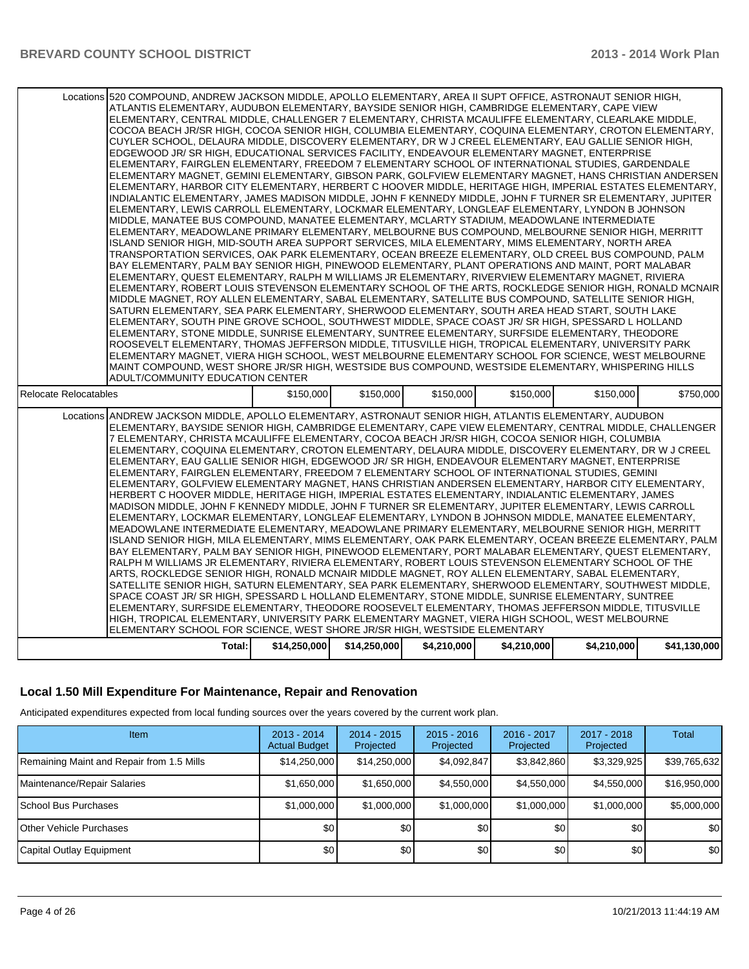| Locations 520 COMPOUND, ANDREW JACKSON MIDDLE, APOLLO ELEMENTARY, AREA II SUPT OFFICE, ASTRONAUT SENIOR HIGH, | ATLANTIS ELEMENTARY, AUDUBON ELEMENTARY, BAYSIDE SENIOR HIGH, CAMBRIDGE ELEMENTARY, CAPE VIEW<br>ELEMENTARY, CENTRAL MIDDLE, CHALLENGER 7 ELEMENTARY, CHRISTA MCAULIFFE ELEMENTARY, CLEARLAKE MIDDLE,<br>COCOA BEACH JR/SR HIGH, COCOA SENIOR HIGH, COLUMBIA ELEMENTARY, COQUINA ELEMENTARY, CROTON ELEMENTARY,<br>CUYLER SCHOOL, DELAURA MIDDLE, DISCOVERY ELEMENTARY, DR W J CREEL ELEMENTARY, EAU GALLIE SENIOR HIGH,<br>EDGEWOOD JR/ SR HIGH, EDUCATIONAL SERVICES FACILITY, ENDEAVOUR ELEMENTARY MAGNET, ENTERPRISE<br>ELEMENTARY, FAIRGLEN ELEMENTARY, FREEDOM 7 ELEMENTARY SCHOOL OF INTERNATIONAL STUDIES, GARDENDALE<br>ELEMENTARY MAGNET, GEMINI ELEMENTARY, GIBSON PARK, GOLFVIEW ELEMENTARY MAGNET, HANS CHRISTIAN ANDERSEN<br>ELEMENTARY, HARBOR CITY ELEMENTARY, HERBERT C HOOVER MIDDLE, HERITAGE HIGH, IMPERIAL ESTATES ELEMENTARY,<br>INDIALANTIC ELEMENTARY, JAMES MADISON MIDDLE, JOHN F KENNEDY MIDDLE, JOHN F TURNER SR ELEMENTARY, JUPITER<br>ELEMENTARY, LEWIS CARROLL ELEMENTARY, LOCKMAR ELEMENTARY, LONGLEAF ELEMENTARY, LYNDON B JOHNSON<br>MIDDLE. MANATEE BUS COMPOUND. MANATEE ELEMENTARY. MCLARTY STADIUM. MEADOWLANE INTERMEDIATE<br>ELEMENTARY, MEADOWLANE PRIMARY ELEMENTARY, MELBOURNE BUS COMPOUND, MELBOURNE SENIOR HIGH, MERRITT<br>ISLAND SENIOR HIGH, MID-SOUTH AREA SUPPORT SERVICES, MILA ELEMENTARY, MIMS ELEMENTARY, NORTH AREA<br>TRANSPORTATION SERVICES, OAK PARK ELEMENTARY, OCEAN BREEZE ELEMENTARY, OLD CREEL BUS COMPOUND, PALM<br>BAY ELEMENTARY, PALM BAY SENIOR HIGH, PINEWOOD ELEMENTARY, PLANT OPERATIONS AND MAINT, PORT MALABAR<br>ELEMENTARY, QUEST ELEMENTARY, RALPH M WILLIAMS JR ELEMENTARY, RIVERVIEW ELEMENTARY MAGNET, RIVIERA<br>ELEMENTARY, ROBERT LOUIS STEVENSON ELEMENTARY SCHOOL OF THE ARTS, ROCKLEDGE SENIOR HIGH, RONALD MCNAIR<br>MIDDLE MAGNET, ROY ALLEN ELEMENTARY, SABAL ELEMENTARY, SATELLITE BUS COMPOUND, SATELLITE SENIOR HIGH,<br>SATURN ELEMENTARY, SEA PARK ELEMENTARY, SHERWOOD ELEMENTARY, SOUTH AREA HEAD START, SOUTH LAKE<br>ELEMENTARY, SOUTH PINE GROVE SCHOOL, SOUTHWEST MIDDLE, SPACE COAST JR/ SR HIGH, SPESSARD L HOLLAND<br>ELEMENTARY, STONE MIDDLE, SUNRISE ELEMENTARY, SUNTREE ELEMENTARY, SURFSIDE ELEMENTARY, THEODORE<br>ROOSEVELT ELEMENTARY, THOMAS JEFFERSON MIDDLE, TITUSVILLE HIGH, TROPICAL ELEMENTARY, UNIVERSITY PARK<br>ELEMENTARY MAGNET, VIERA HIGH SCHOOL, WEST MELBOURNE ELEMENTARY SCHOOL FOR SCIENCE, WEST MELBOURNE<br>MAINT COMPOUND, WEST SHORE JR/SR HIGH, WESTSIDE BUS COMPOUND, WESTSIDE ELEMENTARY, WHISPERING HILLS<br>ADULT/COMMUNITY EDUCATION CENTER<br>\$150,000<br>\$150,000<br>\$150,000<br>\$150,000<br>\$150,000 |              |              |             |             |             |              |
|---------------------------------------------------------------------------------------------------------------|---------------------------------------------------------------------------------------------------------------------------------------------------------------------------------------------------------------------------------------------------------------------------------------------------------------------------------------------------------------------------------------------------------------------------------------------------------------------------------------------------------------------------------------------------------------------------------------------------------------------------------------------------------------------------------------------------------------------------------------------------------------------------------------------------------------------------------------------------------------------------------------------------------------------------------------------------------------------------------------------------------------------------------------------------------------------------------------------------------------------------------------------------------------------------------------------------------------------------------------------------------------------------------------------------------------------------------------------------------------------------------------------------------------------------------------------------------------------------------------------------------------------------------------------------------------------------------------------------------------------------------------------------------------------------------------------------------------------------------------------------------------------------------------------------------------------------------------------------------------------------------------------------------------------------------------------------------------------------------------------------------------------------------------------------------------------------------------------------------------------------------------------------------------------------------------------------------------------------------------------------------------------------------------------------------------------------------------------------------------------------------------------------------------------------------------------------------------------------------------------------------------------------------------------------------------------------------------------------------------------------------------------------------|--------------|--------------|-------------|-------------|-------------|--------------|
| <b>Relocate Relocatables</b>                                                                                  |                                                                                                                                                                                                                                                                                                                                                                                                                                                                                                                                                                                                                                                                                                                                                                                                                                                                                                                                                                                                                                                                                                                                                                                                                                                                                                                                                                                                                                                                                                                                                                                                                                                                                                                                                                                                                                                                                                                                                                                                                                                                                                                                                                                                                                                                                                                                                                                                                                                                                                                                                                                                                                                         |              |              |             |             |             | \$750,000    |
|                                                                                                               |                                                                                                                                                                                                                                                                                                                                                                                                                                                                                                                                                                                                                                                                                                                                                                                                                                                                                                                                                                                                                                                                                                                                                                                                                                                                                                                                                                                                                                                                                                                                                                                                                                                                                                                                                                                                                                                                                                                                                                                                                                                                                                                                                                                                                                                                                                                                                                                                                                                                                                                                                                                                                                                         |              |              |             |             |             |              |
|                                                                                                               | Locations ANDREW JACKSON MIDDLE, APOLLO ELEMENTARY, ASTRONAUT SENIOR HIGH, ATLANTIS ELEMENTARY, AUDUBON<br>ELEMENTARY, BAYSIDE SENIOR HIGH, CAMBRIDGE ELEMENTARY, CAPE VIEW ELEMENTARY, CENTRAL MIDDLE, CHALLENGER<br>7 ELEMENTARY, CHRISTA MCAULIFFE ELEMENTARY, COCOA BEACH JR/SR HIGH, COCOA SENIOR HIGH, COLUMBIA<br>ELEMENTARY, COQUINA ELEMENTARY, CROTON ELEMENTARY, DELAURA MIDDLE, DISCOVERY ELEMENTARY, DR W J CREEL<br>ELEMENTARY, EAU GALLIE SENIOR HIGH, EDGEWOOD JR/ SR HIGH, ENDEAVOUR ELEMENTARY MAGNET, ENTERPRISE<br>ELEMENTARY, FAIRGLEN ELEMENTARY, FREEDOM 7 ELEMENTARY SCHOOL OF INTERNATIONAL STUDIES, GEMINI<br>ELEMENTARY, GOLFVIEW ELEMENTARY MAGNET, HANS CHRISTIAN ANDERSEN ELEMENTARY, HARBOR CITY ELEMENTARY,<br>HERBERT C HOOVER MIDDLE, HERITAGE HIGH, IMPERIAL ESTATES ELEMENTARY, INDIALANTIC ELEMENTARY, JAMES<br>MADISON MIDDLE, JOHN F KENNEDY MIDDLE, JOHN F TURNER SR ELEMENTARY, JUPITER ELEMENTARY, LEWIS CARROLL<br>ELEMENTARY, LOCKMAR ELEMENTARY, LONGLEAF ELEMENTARY, LYNDON B JOHNSON MIDDLE, MANATEE ELEMENTARY,<br>MEADOWLANE INTERMEDIATE ELEMENTARY, MEADOWLANE PRIMARY ELEMENTARY, MELBOURNE SENIOR HIGH, MERRITT<br>ISLAND SENIOR HIGH, MILA ELEMENTARY, MIMS ELEMENTARY, OAK PARK ELEMENTARY, OCEAN BREEZE ELEMENTARY, PALM<br>BAY ELEMENTARY, PALM BAY SENIOR HIGH, PINEWOOD ELEMENTARY, PORT MALABAR ELEMENTARY, QUEST ELEMENTARY,<br>RALPH M WILLIAMS JR ELEMENTARY, RIVIERA ELEMENTARY, ROBERT LOUIS STEVENSON ELEMENTARY SCHOOL OF THE<br>ARTS, ROCKLEDGE SENIOR HIGH, RONALD MCNAIR MIDDLE MAGNET, ROY ALLEN ELEMENTARY, SABAL ELEMENTARY,<br>SATELLITE SENIOR HIGH, SATURN ELEMENTARY, SEA PARK ELEMENTARY, SHERWOOD ELEMENTARY, SOUTHWEST MIDDLE,<br>SPACE COAST JR/SR HIGH, SPESSARD L HOLLAND ELEMENTARY, STONE MIDDLE, SUNRISE ELEMENTARY, SUNTREE<br>ELEMENTARY, SURFSIDE ELEMENTARY, THEODORE ROOSEVELT ELEMENTARY, THOMAS JEFFERSON MIDDLE, TITUSVILLE<br>HIGH, TROPICAL ELEMENTARY, UNIVERSITY PARK ELEMENTARY MAGNET, VIERA HIGH SCHOOL, WEST MELBOURNE<br>ELEMENTARY SCHOOL FOR SCIENCE, WEST SHORE JR/SR HIGH, WESTSIDE ELEMENTARY                                                                                                                                                                                                                                                                                                                                                                                                                                                                                                                                               |              |              |             |             |             |              |
|                                                                                                               | Total:                                                                                                                                                                                                                                                                                                                                                                                                                                                                                                                                                                                                                                                                                                                                                                                                                                                                                                                                                                                                                                                                                                                                                                                                                                                                                                                                                                                                                                                                                                                                                                                                                                                                                                                                                                                                                                                                                                                                                                                                                                                                                                                                                                                                                                                                                                                                                                                                                                                                                                                                                                                                                                                  | \$14,250,000 | \$14,250,000 | \$4,210,000 | \$4,210,000 | \$4,210,000 | \$41,130,000 |

#### **Local 1.50 Mill Expenditure For Maintenance, Repair and Renovation**

Anticipated expenditures expected from local funding sources over the years covered by the current work plan.

| <b>Item</b>                               | $2013 - 2014$<br><b>Actual Budget</b> | $2014 - 2015$<br>Projected | $2015 - 2016$<br>Projected | $2016 - 2017$<br>Projected | $2017 - 2018$<br>Projected | <b>Total</b> |
|-------------------------------------------|---------------------------------------|----------------------------|----------------------------|----------------------------|----------------------------|--------------|
| Remaining Maint and Repair from 1.5 Mills | \$14,250,000                          | \$14,250,000               | \$4,092,847                | \$3,842,860                | \$3,329,925                | \$39,765,632 |
| Maintenance/Repair Salaries               | \$1,650,000                           | \$1,650,000                | \$4,550,000                | \$4,550,000                | \$4.550.000                | \$16,950,000 |
| School Bus Purchases                      | \$1,000,000                           | \$1,000,000                | \$1,000,000                | \$1,000,000                | \$1,000,000                | \$5,000,000  |
| <b>Other Vehicle Purchases</b>            | \$0                                   | \$0                        | \$0                        | \$0                        | \$0                        | \$0          |
| Capital Outlay Equipment                  | \$0                                   | \$0                        | \$0 <sub>1</sub>           | \$0                        | \$0                        | \$0          |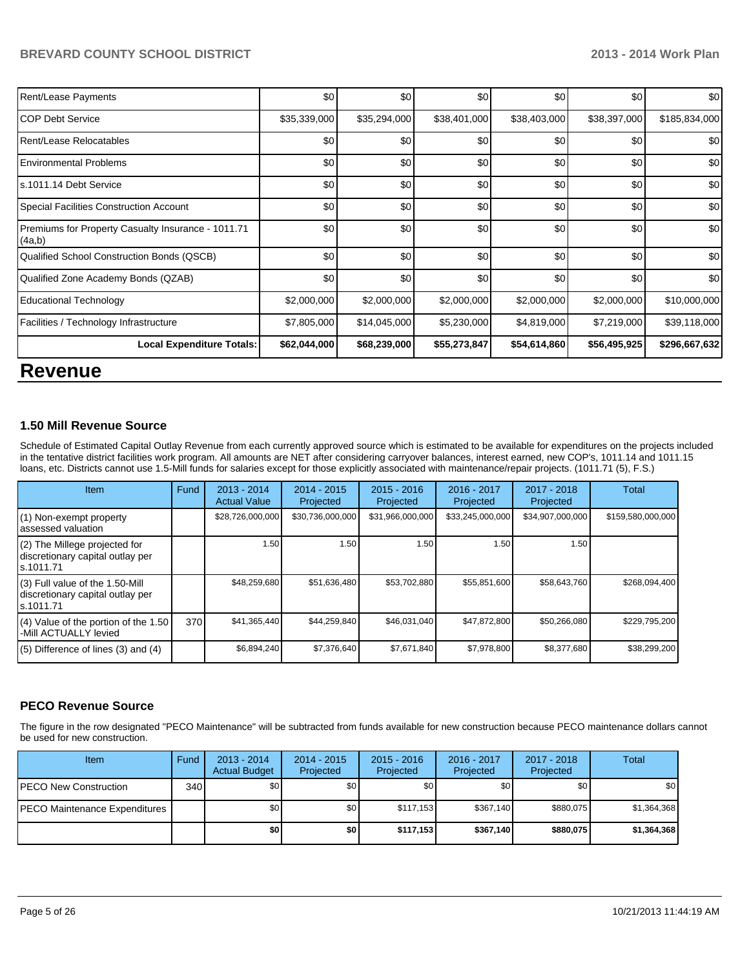| Rent/Lease Payments                                          | \$0          | \$0          | \$0          | \$0          | \$0          | \$0           |
|--------------------------------------------------------------|--------------|--------------|--------------|--------------|--------------|---------------|
| ICOP Debt Service                                            | \$35,339,000 | \$35,294,000 | \$38,401,000 | \$38,403,000 | \$38,397,000 | \$185,834,000 |
| Rent/Lease Relocatables                                      | \$0          | \$0          | \$0          | \$0          | \$0          | \$0           |
| Environmental Problems                                       | \$0          | \$0          | \$0          | \$0          | \$0          | \$0           |
| ls.1011.14 Debt Service                                      | \$0          | \$0          | \$0          | \$0          | \$0          | \$0           |
| Special Facilities Construction Account                      | \$0          | \$0          | \$0          | \$0          | \$0          | \$0           |
| Premiums for Property Casualty Insurance - 1011.71<br>(4a,b) | \$0          | \$0          | \$0          | \$0          | \$0          | \$0           |
| Qualified School Construction Bonds (QSCB)                   | \$0          | \$0          | \$0          | \$0          | \$0          | \$0           |
| Qualified Zone Academy Bonds (QZAB)                          | \$0          | \$0          | \$0          | \$0          | \$0          | \$0           |
| Educational Technology                                       | \$2,000,000  | \$2,000,000  | \$2,000,000  | \$2,000,000  | \$2,000,000  | \$10,000,000  |
| Facilities / Technology Infrastructure                       | \$7,805,000  | \$14,045,000 | \$5,230,000  | \$4,819,000  | \$7,219,000  | \$39,118,000  |
| <b>Local Expenditure Totals:</b>                             | \$62,044,000 | \$68,239,000 | \$55,273,847 | \$54,614,860 | \$56,495,925 | \$296,667,632 |

## **Revenue**

#### **1.50 Mill Revenue Source**

Schedule of Estimated Capital Outlay Revenue from each currently approved source which is estimated to be available for expenditures on the projects included in the tentative district facilities work program. All amounts are NET after considering carryover balances, interest earned, new COP's, 1011.14 and 1011.15 loans, etc. Districts cannot use 1.5-Mill funds for salaries except for those explicitly associated with maintenance/repair projects. (1011.71 (5), F.S.)

| <b>Item</b>                                                                      | Fund | $2013 - 2014$<br><b>Actual Value</b> | $2014 - 2015$<br>Projected | $2015 - 2016$<br>Projected | $2016 - 2017$<br>Projected | $2017 - 2018$<br>Projected | Total             |
|----------------------------------------------------------------------------------|------|--------------------------------------|----------------------------|----------------------------|----------------------------|----------------------------|-------------------|
| (1) Non-exempt property<br>assessed valuation                                    |      | \$28,726,000,000                     | \$30,736,000,000           | \$31,966,000,000           | \$33,245,000,000           | \$34,907,000,000           | \$159,580,000,000 |
| (2) The Millege projected for<br>discretionary capital outlay per<br>ls.1011.71  |      | 1.50                                 | 1.50                       | 1.50                       | 1.50                       | 1.50                       |                   |
| (3) Full value of the 1.50-Mill<br>discretionary capital outlay per<br>s.1011.71 |      | \$48,259,680                         | \$51,636,480               | \$53,702,880               | \$55,851,600               | \$58,643,760               | \$268.094.400     |
| (4) Value of the portion of the 1.50<br>-Mill ACTUALLY levied                    | 370  | \$41,365,440                         | \$44.259.840               | \$46.031.040               | \$47.872.800               | \$50,266,080               | \$229.795.200     |
| $(5)$ Difference of lines $(3)$ and $(4)$                                        |      | \$6,894,240                          | \$7,376,640                | \$7,671,840                | \$7,978,800                | \$8,377,680                | \$38,299,200      |

#### **PECO Revenue Source**

The figure in the row designated "PECO Maintenance" will be subtracted from funds available for new construction because PECO maintenance dollars cannot be used for new construction.

| Item                                 | Fund | $2013 - 2014$<br><b>Actual Budget</b> | 2014 - 2015<br>Projected | $2015 - 2016$<br>Projected | $2016 - 2017$<br>Projected | 2017 - 2018<br>Projected | Total            |
|--------------------------------------|------|---------------------------------------|--------------------------|----------------------------|----------------------------|--------------------------|------------------|
| <b>PECO New Construction</b>         | 340  | \$0                                   | \$0 <sub>1</sub>         | \$0                        | \$0 <sub>1</sub>           | \$0                      | \$0 <sub>1</sub> |
| <b>PECO Maintenance Expenditures</b> |      | \$0                                   | \$0 <sub>1</sub>         | \$117.153                  | \$367.140                  | \$880.075                | \$1,364,368      |
|                                      |      | \$0                                   | \$0 I                    | \$117.153                  | \$367.140                  | \$880.075                | \$1,364,368      |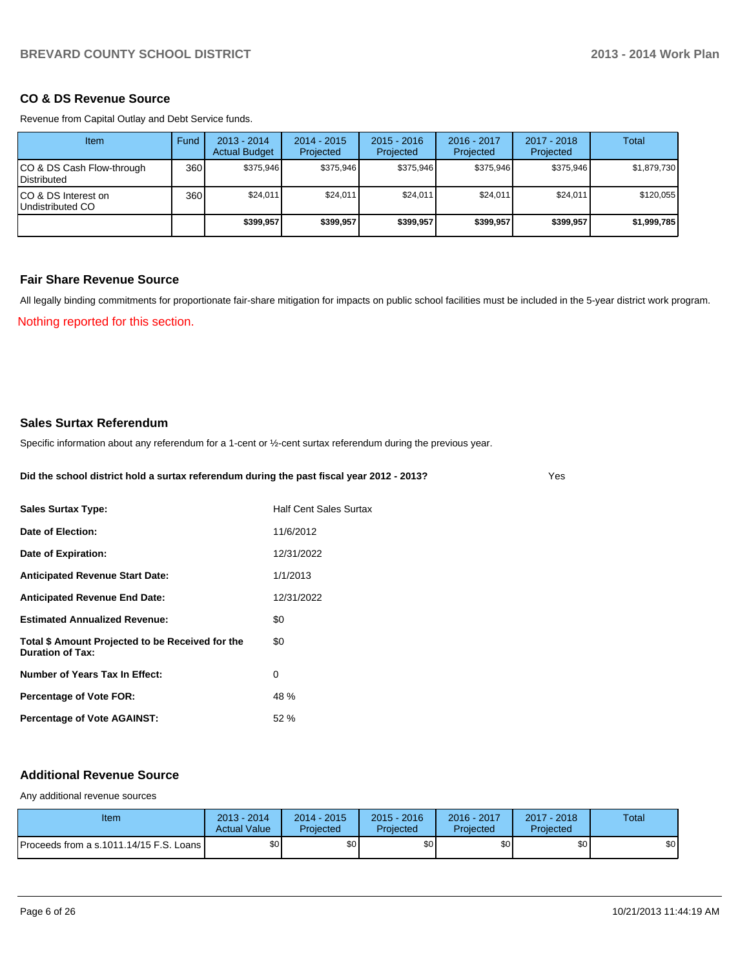#### **CO & DS Revenue Source**

Revenue from Capital Outlay and Debt Service funds.

| <b>Item</b>                                       | Fund | $2013 - 2014$<br><b>Actual Budget</b> | $2014 - 2015$<br>Projected | $2015 - 2016$<br>Projected | $2016 - 2017$<br>Projected | $2017 - 2018$<br>Projected | Total       |
|---------------------------------------------------|------|---------------------------------------|----------------------------|----------------------------|----------------------------|----------------------------|-------------|
| CO & DS Cash Flow-through<br><b>I</b> Distributed | 360  | \$375.946                             | \$375.946                  | \$375.946                  | \$375.946                  | \$375.946                  | \$1,879,730 |
| ICO & DS Interest on<br>Undistributed CO          | 360  | \$24.011                              | \$24.011                   | \$24.011                   | \$24.011                   | \$24,011                   | \$120,055   |
|                                                   |      | \$399.957                             | \$399.957                  | \$399.957                  | \$399.957                  | \$399,957                  | \$1,999,785 |

#### **Fair Share Revenue Source**

All legally binding commitments for proportionate fair-share mitigation for impacts on public school facilities must be included in the 5-year district work program.

Nothing reported for this section.

#### **Sales Surtax Referendum**

Specific information about any referendum for a 1-cent or ½-cent surtax referendum during the previous year.

#### **Did the school district hold a surtax referendum during the past fiscal year 2012 - 2013?**

Yes

| <b>Sales Surtax Type:</b>                                                   | <b>Half Cent Sales Surtax</b> |
|-----------------------------------------------------------------------------|-------------------------------|
| Date of Election:                                                           | 11/6/2012                     |
| Date of Expiration:                                                         | 12/31/2022                    |
| <b>Anticipated Revenue Start Date:</b>                                      | 1/1/2013                      |
| <b>Anticipated Revenue End Date:</b>                                        | 12/31/2022                    |
| <b>Estimated Annualized Revenue:</b>                                        | \$0                           |
| Total \$ Amount Projected to be Received for the<br><b>Duration of Tax:</b> | \$0                           |
| Number of Years Tax In Effect:                                              | 0                             |
| <b>Percentage of Vote FOR:</b>                                              | 48 %                          |
| <b>Percentage of Vote AGAINST:</b>                                          | 52%                           |

#### **Additional Revenue Source**

Any additional revenue sources

| Item                                    | $2013 - 2014$<br><b>Actual Value</b> | $2014 - 2015$<br>Projected | $2015 - 2016$<br>Projected | 2016 - 2017<br>Projected | $2017 - 2018$<br>Projected | Total |
|-----------------------------------------|--------------------------------------|----------------------------|----------------------------|--------------------------|----------------------------|-------|
| Proceeds from a s.1011.14/15 F.S. Loans | \$0 <sub>1</sub>                     | \$0 <sub>1</sub>           | \$0 <sub>1</sub>           | ፍሰ                       | \$0                        | \$0   |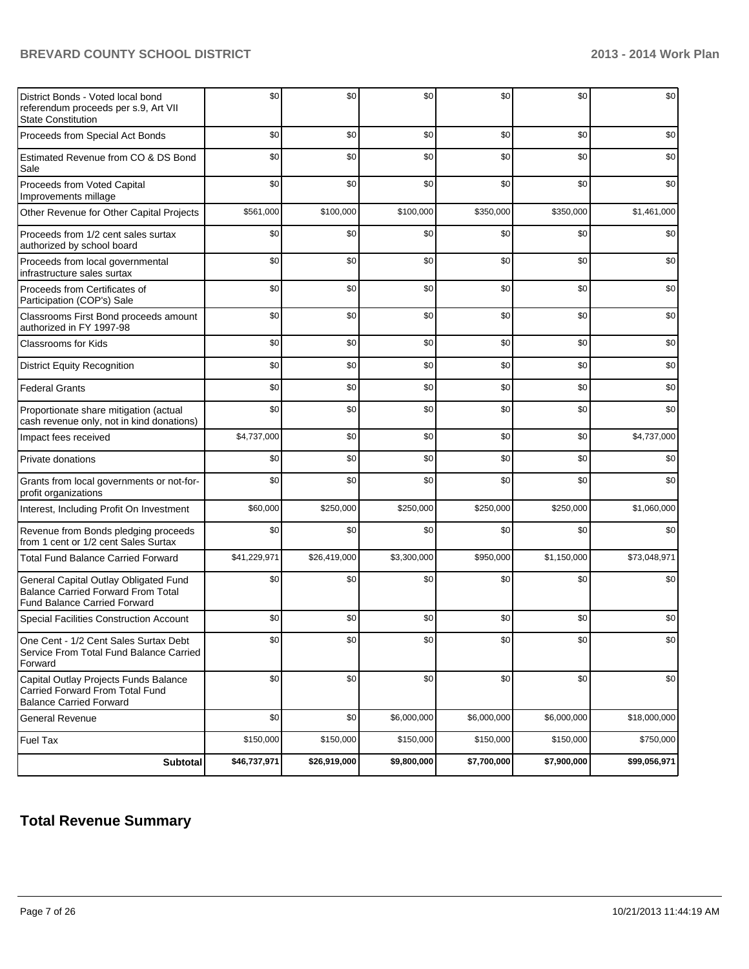| District Bonds - Voted local bond<br>referendum proceeds per s.9, Art VII<br><b>State Constitution</b>                    | \$0          | \$0          | \$0         | \$0         | \$0         | \$0          |
|---------------------------------------------------------------------------------------------------------------------------|--------------|--------------|-------------|-------------|-------------|--------------|
| Proceeds from Special Act Bonds                                                                                           | \$0          | \$0          | \$0         | \$0         | \$0         | \$0          |
| Estimated Revenue from CO & DS Bond<br>Sale                                                                               | \$0          | \$0          | \$0         | \$0         | \$0         | \$0          |
| Proceeds from Voted Capital<br>Improvements millage                                                                       | \$0          | \$0          | \$0         | \$0         | \$0         | \$0          |
| Other Revenue for Other Capital Projects                                                                                  | \$561,000    | \$100,000    | \$100,000   | \$350,000   | \$350,000   | \$1,461,000  |
| Proceeds from 1/2 cent sales surtax<br>authorized by school board                                                         | \$0          | \$0          | \$0         | \$0         | \$0         | \$0          |
| Proceeds from local governmental<br>infrastructure sales surtax                                                           | \$0          | \$0          | \$0         | \$0         | \$0         | \$0          |
| Proceeds from Certificates of<br>Participation (COP's) Sale                                                               | \$0          | \$0          | \$0         | \$0         | \$0         | \$0          |
| Classrooms First Bond proceeds amount<br>authorized in FY 1997-98                                                         | \$0          | \$0          | \$0         | \$0         | \$0         | \$0          |
| <b>Classrooms for Kids</b>                                                                                                | \$0          | \$0          | \$0         | \$0         | \$0         | \$0          |
| <b>District Equity Recognition</b>                                                                                        | \$0          | \$0          | \$0         | \$0         | \$0         | \$0          |
| <b>Federal Grants</b>                                                                                                     | \$0          | \$0          | \$0         | \$0         | \$0         | \$0          |
| Proportionate share mitigation (actual<br>cash revenue only, not in kind donations)                                       | \$0          | \$0          | \$0         | \$0         | \$0         | \$0          |
| Impact fees received                                                                                                      | \$4,737,000  | \$0          | \$0         | \$0         | \$0         | \$4,737,000  |
| Private donations                                                                                                         | \$0          | \$0          | \$0         | \$0         | \$0         | \$0          |
| Grants from local governments or not-for-<br>profit organizations                                                         | \$0          | \$0          | \$0         | \$0         | \$0         | \$0          |
| Interest, Including Profit On Investment                                                                                  | \$60,000     | \$250,000    | \$250,000   | \$250,000   | \$250,000   | \$1,060,000  |
| Revenue from Bonds pledging proceeds<br>from 1 cent or 1/2 cent Sales Surtax                                              | \$0          | \$0          | \$0         | \$0         | \$0         | \$0          |
| <b>Total Fund Balance Carried Forward</b>                                                                                 | \$41,229,971 | \$26,419,000 | \$3,300,000 | \$950,000   | \$1,150,000 | \$73,048,971 |
| General Capital Outlay Obligated Fund<br><b>Balance Carried Forward From Total</b><br><b>Fund Balance Carried Forward</b> | \$0          | \$0          | \$0         | \$0         | \$0         | \$0          |
| <b>Special Facilities Construction Account</b>                                                                            | \$0          | \$0          | \$0         | \$0         | \$0         | \$0          |
| One Cent - 1/2 Cent Sales Surtax Debt<br>Service From Total Fund Balance Carried<br>Forward                               | \$0          | \$0          | \$0         | \$0         | \$0         | \$0          |
| Capital Outlay Projects Funds Balance<br>Carried Forward From Total Fund<br><b>Balance Carried Forward</b>                | \$0          | \$0          | \$0         | \$0         | \$0         | \$0          |
| <b>General Revenue</b>                                                                                                    | \$0          | \$0          | \$6,000,000 | \$6,000,000 | \$6,000,000 | \$18,000,000 |
| <b>Fuel Tax</b>                                                                                                           | \$150,000    | \$150,000    | \$150,000   | \$150,000   | \$150,000   | \$750,000    |
| <b>Subtotal</b>                                                                                                           | \$46,737,971 | \$26,919,000 | \$9,800,000 | \$7,700,000 | \$7,900,000 | \$99,056,971 |

## **Total Revenue Summary**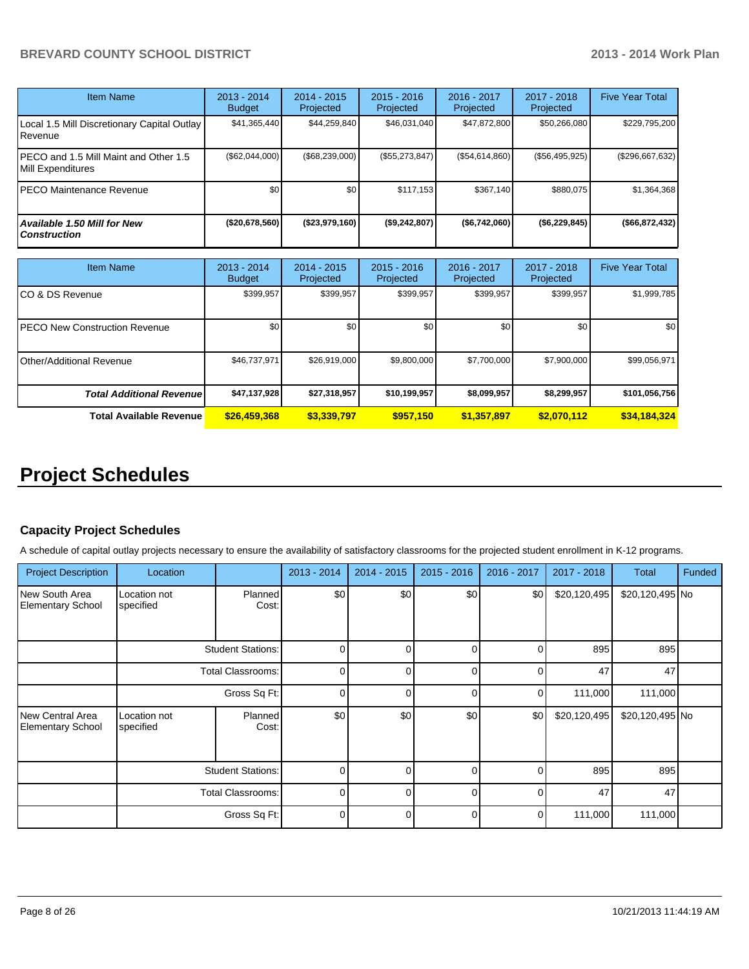| Item Name                                                  | $2013 - 2014$<br><b>Budget</b> | $2014 - 2015$<br>Projected | $2015 - 2016$<br><b>Projected</b> | $2016 - 2017$<br>Projected | $2017 - 2018$<br>Projected | <b>Five Year Total</b> |
|------------------------------------------------------------|--------------------------------|----------------------------|-----------------------------------|----------------------------|----------------------------|------------------------|
| Local 1.5 Mill Discretionary Capital Outlay<br>.Revenue    | \$41,365,440                   | \$44,259,840               | \$46,031,040                      | \$47,872,800               | \$50,266,080               | \$229,795,200          |
| PECO and 1.5 Mill Maint and Other 1.5<br>Mill Expenditures | (\$62,044,000)                 | (\$68,239,000)             | (S55, 273, 847)                   | (S54, 614, 860)            | (\$56,495,925)             | (\$296,667,632)        |
| <b>PECO Maintenance Revenue</b>                            | \$0                            | \$0                        | \$117.153                         | \$367.140                  | \$880.075                  | \$1,364,368            |
| <b>Available 1.50 Mill for New</b><br><b>Construction</b>  | $($ \$20,678,560)              | ( \$23,979,160)            | (\$9,242,807)                     | ( \$6,742,060)             | (\$6,229,845)              | (\$66,872,432)         |

| <b>Item Name</b>                      | 2013 - 2014<br><b>Budget</b> | $2014 - 2015$<br>Projected | $2015 - 2016$<br>Projected | 2016 - 2017<br>Projected | 2017 - 2018<br>Projected | <b>Five Year Total</b> |
|---------------------------------------|------------------------------|----------------------------|----------------------------|--------------------------|--------------------------|------------------------|
| ICO & DS Revenue                      | \$399,957                    | \$399,957                  | \$399,957                  | \$399,957                | \$399,957                | \$1,999,785            |
| <b>IPECO New Construction Revenue</b> | \$0 <sub>1</sub>             | \$0                        | \$0                        | \$0                      | \$0                      | \$0                    |
| <b>I</b> Other/Additional Revenue     | \$46,737,971                 | \$26,919,000               | \$9,800,000                | \$7,700,000              | \$7,900,000              | \$99,056,971           |
| <b>Total Additional Revenue</b>       | \$47,137,928                 | \$27,318,957               | \$10,199,957               | \$8,099,957              | \$8,299,957              | \$101,056,756          |
| <b>Total Available Revenue</b>        | \$26,459,368                 | \$3,339,797                | \$957,150                  | \$1,357,897              | \$2.070.112              | \$34,184,324           |

## **Project Schedules**

#### **Capacity Project Schedules**

A schedule of capital outlay projects necessary to ensure the availability of satisfactory classrooms for the projected student enrollment in K-12 programs.

| <b>Project Description</b>                   | Location                  |                          | 2013 - 2014 | $2014 - 2015$ | $2015 - 2016$ | 2016 - 2017 | 2017 - 2018  | <b>Total</b>    | <b>Funded</b> |
|----------------------------------------------|---------------------------|--------------------------|-------------|---------------|---------------|-------------|--------------|-----------------|---------------|
| New South Area<br><b>Elementary School</b>   | Location not<br>specified | Planned<br>Cost:         | \$0         | \$0           | \$0           | \$0         | \$20,120,495 | \$20,120,495 No |               |
|                                              |                           | <b>Student Stations:</b> | 0           | 0             | 0             | 0           | 895          | 895             |               |
|                                              |                           | Total Classrooms:        | 0           | $\Omega$      | 0             | $\Omega$    | 47           | 47              |               |
|                                              |                           | Gross Sq Ft:             | 0           |               | 0             | 0           | 111,000      | 111,000         |               |
| New Central Area<br><b>Elementary School</b> | Location not<br>specified | Planned<br>Cost:         | \$0         | \$0           | \$0           | \$0         | \$20,120,495 | \$20,120,495 No |               |
|                                              |                           | <b>Student Stations:</b> | 0           | U             | 0             | $\Omega$    | 895          | 895             |               |
|                                              |                           | <b>Total Classrooms:</b> | 0           | U             | $\Omega$      | U           | 47           | 47              |               |
|                                              |                           | Gross Sq Ft:             | $\Omega$    |               | 0             | 0           | 111,000      | 111,000         |               |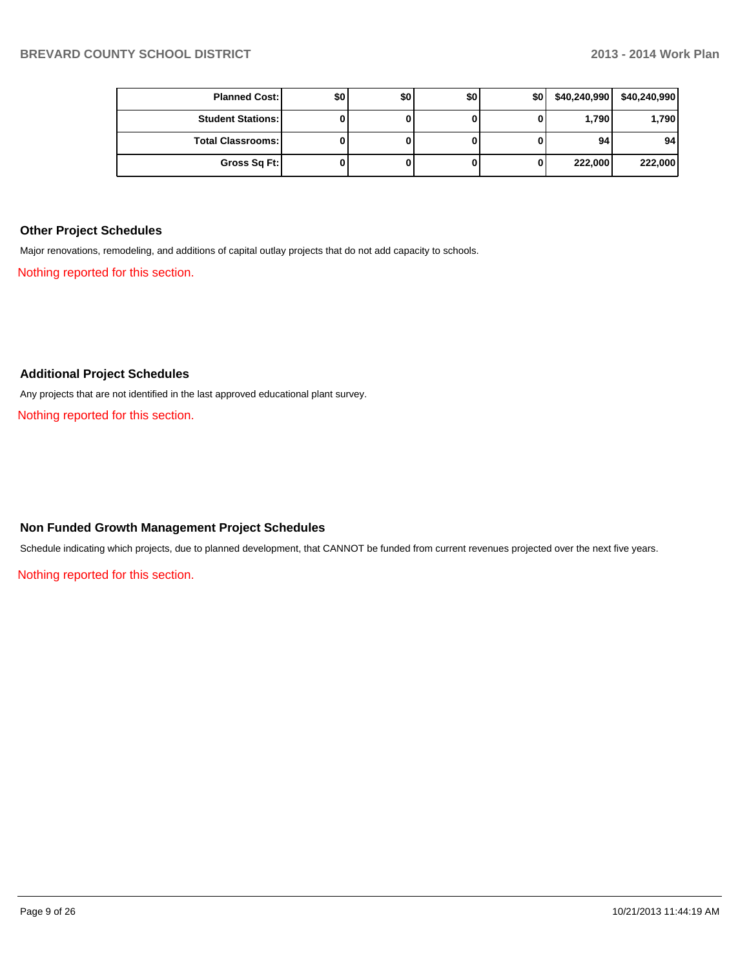| <b>Planned Cost:</b>     | \$0 | \$0 | \$0 | \$0 | \$40,240,990 | \$40,240,990    |
|--------------------------|-----|-----|-----|-----|--------------|-----------------|
| <b>Student Stations:</b> |     |     |     |     | 1,790        | 1,790           |
| <b>Total Classrooms:</b> |     |     |     |     | 94           | 94 <sub>1</sub> |
| Gross Sq Ft:             |     |     |     | 0   | 222,000      | 222,000         |

#### **Other Project Schedules**

Major renovations, remodeling, and additions of capital outlay projects that do not add capacity to schools.

Nothing reported for this section.

#### **Additional Project Schedules**

Any projects that are not identified in the last approved educational plant survey.

Nothing reported for this section.

#### **Non Funded Growth Management Project Schedules**

Schedule indicating which projects, due to planned development, that CANNOT be funded from current revenues projected over the next five years.

Nothing reported for this section.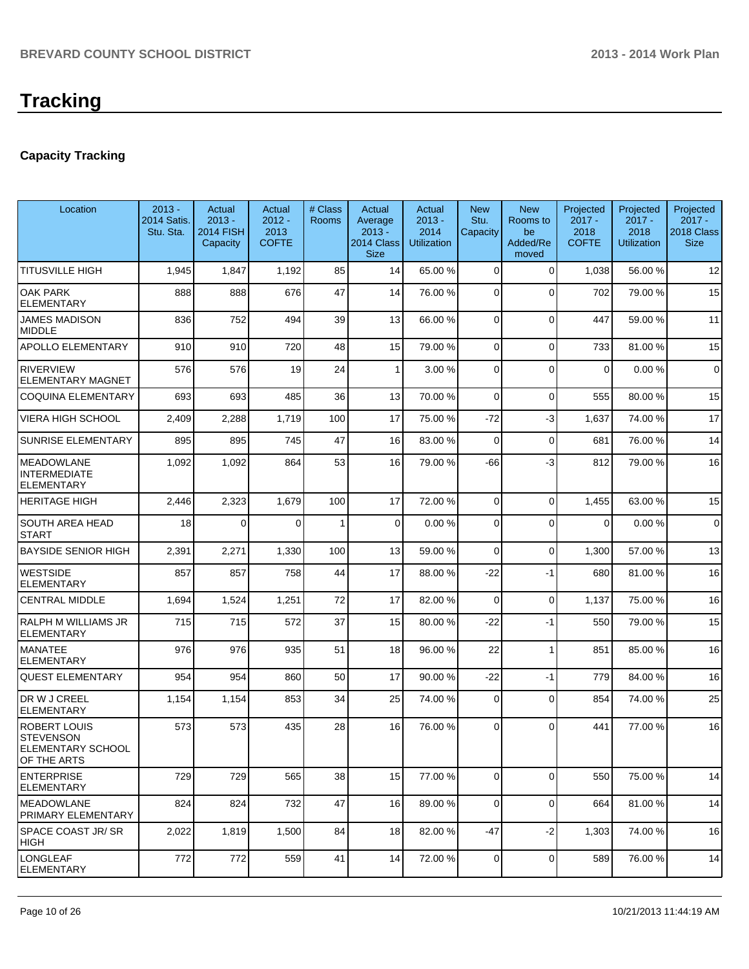## **Capacity Tracking**

| Location                                                                    | $2013 -$<br>2014 Satis.<br>Stu. Sta. | Actual<br>$2013 -$<br><b>2014 FISH</b><br>Capacity | Actual<br>$2012 -$<br>2013<br><b>COFTE</b> | # Class<br><b>Rooms</b> | Actual<br>Average<br>$2013 -$<br>2014 Class<br><b>Size</b> | Actual<br>$2013 -$<br>2014<br><b>Utilization</b> | <b>New</b><br>Stu.<br>Capacity | <b>New</b><br>Rooms to<br>be<br>Added/Re<br>moved | Projected<br>$2017 -$<br>2018<br><b>COFTE</b> | Projected<br>$2017 -$<br>2018<br><b>Utilization</b> | Projected<br>$2017 -$<br>2018 Class<br><b>Size</b> |
|-----------------------------------------------------------------------------|--------------------------------------|----------------------------------------------------|--------------------------------------------|-------------------------|------------------------------------------------------------|--------------------------------------------------|--------------------------------|---------------------------------------------------|-----------------------------------------------|-----------------------------------------------------|----------------------------------------------------|
| <b>TITUSVILLE HIGH</b>                                                      | 1,945                                | 1,847                                              | 1,192                                      | 85                      | 14                                                         | 65.00 %                                          | $\Omega$                       | $\Omega$                                          | 1,038                                         | 56.00 %                                             | 12                                                 |
| <b>OAK PARK</b><br><b>ELEMENTARY</b>                                        | 888                                  | 888                                                | 676                                        | 47                      | 14                                                         | 76.00 %                                          | $\Omega$                       | $\Omega$                                          | 702                                           | 79.00 %                                             | 15                                                 |
| <b>JAMES MADISON</b><br><b>MIDDLE</b>                                       | 836                                  | 752                                                | 494                                        | 39                      | 13                                                         | 66.00 %                                          | $\Omega$                       | $\Omega$                                          | 447                                           | 59.00 %                                             | 11                                                 |
| <b>APOLLO ELEMENTARY</b>                                                    | 910                                  | 910                                                | 720                                        | 48                      | 15                                                         | 79.00 %                                          | $\Omega$                       | $\Omega$                                          | 733                                           | 81.00 %                                             | 15                                                 |
| <b>RIVERVIEW</b><br><b>ELEMENTARY MAGNET</b>                                | 576                                  | 576                                                | 19                                         | 24                      | 1                                                          | 3.00 %                                           | $\Omega$                       | $\Omega$                                          | $\Omega$                                      | 0.00%                                               | $\mathbf 0$                                        |
| <b>COQUINA ELEMENTARY</b>                                                   | 693                                  | 693                                                | 485                                        | 36                      | 13                                                         | 70.00 %                                          | $\Omega$                       | $\Omega$                                          | 555                                           | 80.00 %                                             | 15                                                 |
| <b>VIERA HIGH SCHOOL</b>                                                    | 2,409                                | 2,288                                              | 1,719                                      | 100                     | 17                                                         | 75.00 %                                          | $-72$                          | $-3$                                              | 1,637                                         | 74.00 %                                             | 17                                                 |
| <b>SUNRISE ELEMENTARY</b>                                                   | 895                                  | 895                                                | 745                                        | 47                      | 16                                                         | 83.00 %                                          | $\Omega$                       | $\Omega$                                          | 681                                           | 76.00 %                                             | 14                                                 |
| <b>MEADOWLANE</b><br><b>INTERMEDIATE</b><br><b>ELEMENTARY</b>               | 1,092                                | 1,092                                              | 864                                        | 53                      | 16                                                         | 79.00 %                                          | -66                            | -3                                                | 812                                           | 79.00 %                                             | 16                                                 |
| <b>HERITAGE HIGH</b>                                                        | 2,446                                | 2,323                                              | 1,679                                      | 100                     | 17                                                         | 72.00 %                                          | $\Omega$                       | $\Omega$                                          | 1,455                                         | 63.00 %                                             | 15                                                 |
| <b>SOUTH AREA HEAD</b><br><b>START</b>                                      | 18                                   | $\Omega$                                           | $\Omega$                                   | 1                       | $\Omega$                                                   | 0.00%                                            | $\Omega$                       | $\Omega$                                          | $\Omega$                                      | 0.00%                                               | $\mathbf 0$                                        |
| <b>BAYSIDE SENIOR HIGH</b>                                                  | 2,391                                | 2,271                                              | 1,330                                      | 100                     | 13                                                         | 59.00 %                                          | $\Omega$                       | $\Omega$                                          | 1,300                                         | 57.00 %                                             | 13                                                 |
| <b>WESTSIDE</b><br><b>ELEMENTARY</b>                                        | 857                                  | 857                                                | 758                                        | 44                      | 17                                                         | 88.00 %                                          | -22                            | $-1$                                              | 680                                           | 81.00 %                                             | 16                                                 |
| <b>CENTRAL MIDDLE</b>                                                       | 1,694                                | 1,524                                              | 1,251                                      | 72                      | 17                                                         | 82.00 %                                          | $\Omega$                       | $\Omega$                                          | 1,137                                         | 75.00 %                                             | 16                                                 |
| RALPH M WILLIAMS JR<br><b>ELEMENTARY</b>                                    | 715                                  | 715                                                | 572                                        | 37                      | 15                                                         | 80.00 %                                          | $-22$                          | $-1$                                              | 550                                           | 79.00 %                                             | 15                                                 |
| <b>MANATEE</b><br><b>ELEMENTARY</b>                                         | 976                                  | 976                                                | 935                                        | 51                      | 18                                                         | 96.00 %                                          | 22                             | 1                                                 | 851                                           | 85.00 %                                             | 16                                                 |
| <b>QUEST ELEMENTARY</b>                                                     | 954                                  | 954                                                | 860                                        | 50                      | 17                                                         | 90.00 %                                          | $-22$                          | $-1$                                              | 779                                           | 84.00 %                                             | 16                                                 |
| DR W J CREEL<br><b>ELEMENTARY</b>                                           | 1,154                                | 1,154                                              | 853                                        | 34                      | 25                                                         | 74.00 %                                          | $\mathbf 0$                    | $\Omega$                                          | 854                                           | 74.00 %                                             | 25                                                 |
| <b>ROBERT LOUIS</b><br><b>STEVENSON</b><br>ELEMENTARY SCHOOL<br>OF THE ARTS | 573                                  | 573                                                | 435                                        | 28                      | 16                                                         | 76.00 %                                          | 0                              | $\Omega$                                          | 441                                           | 77.00 %                                             | 16                                                 |
| <b>LENTERPRISE</b><br><b>ELEMENTARY</b>                                     | 729                                  | 729                                                | 565                                        | 38                      | 15                                                         | 77.00 %                                          | $\mathbf 0$                    | $\mathbf 0$                                       | 550                                           | 75.00 %                                             | 14                                                 |
| <b>MEADOWLANE</b><br><b>PRIMARY ELEMENTARY</b>                              | 824                                  | 824                                                | 732                                        | 47                      | 16                                                         | 89.00 %                                          | 0                              | 0                                                 | 664                                           | 81.00 %                                             | 14                                                 |
| <b>SPACE COAST JR/SR</b><br><b>HIGH</b>                                     | 2,022                                | 1,819                                              | 1,500                                      | 84                      | 18                                                         | 82.00 %                                          | -47                            | $-2$                                              | 1,303                                         | 74.00 %                                             | 16                                                 |
| <b>LONGLEAF</b><br><b>ELEMENTARY</b>                                        | 772                                  | 772                                                | 559                                        | 41                      | 14                                                         | 72.00 %                                          | $\overline{0}$                 | 0                                                 | 589                                           | 76.00 %                                             | 14                                                 |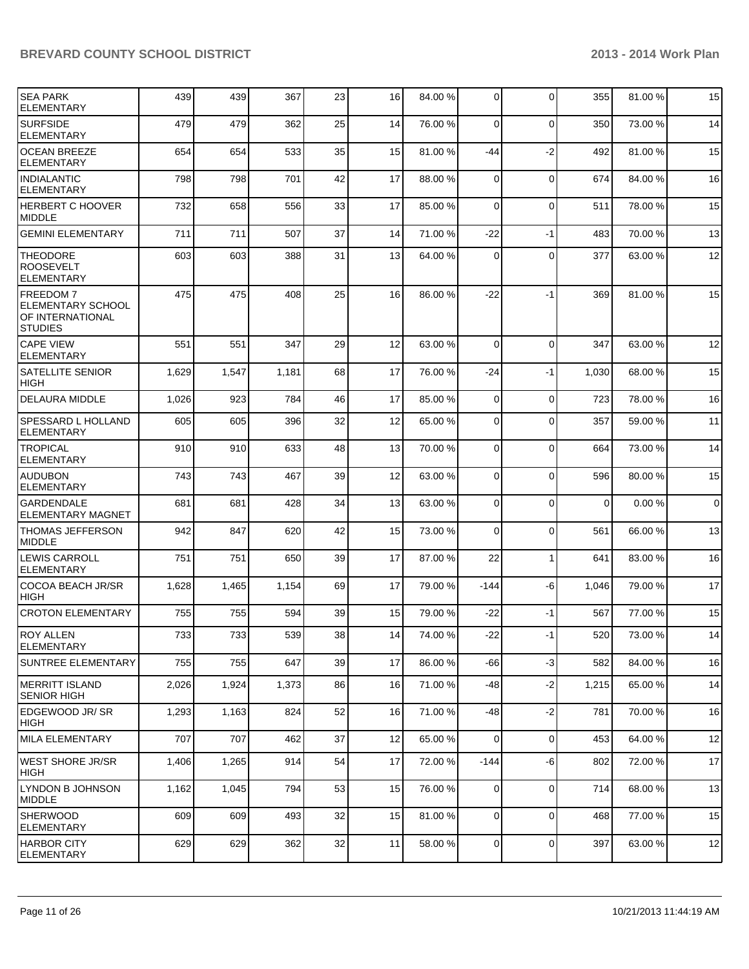| <b>SEA PARK</b><br><b>ELEMENTARY</b>                                              | 439   | 439   | 367   | 23 | 16 | 84.00 % | $\mathbf 0$ | $\Omega$    | 355   | 81.00 % | 15       |
|-----------------------------------------------------------------------------------|-------|-------|-------|----|----|---------|-------------|-------------|-------|---------|----------|
| <b>SURFSIDE</b><br><b>ELEMENTARY</b>                                              | 479   | 479   | 362   | 25 | 14 | 76.00 % | 0           | $\mathbf 0$ | 350   | 73.00 % | 14       |
| <b>OCEAN BREEZE</b><br><b>ELEMENTARY</b>                                          | 654   | 654   | 533   | 35 | 15 | 81.00 % | -44         | $-2$        | 492   | 81.00 % | 15       |
| <b>INDIALANTIC</b><br><b>ELEMENTARY</b>                                           | 798   | 798   | 701   | 42 | 17 | 88.00 % | 0           | $\mathbf 0$ | 674   | 84.00 % | 16       |
| HERBERT C HOOVER<br><b>MIDDLE</b>                                                 | 732   | 658   | 556   | 33 | 17 | 85.00 % | 0           | $\mathbf 0$ | 511   | 78.00 % | 15       |
| <b>GEMINI ELEMENTARY</b>                                                          | 711   | 711   | 507   | 37 | 14 | 71.00 % | $-22$       | $-1$        | 483   | 70.00 % | 13       |
| <b>THEODORE</b><br><b>ROOSEVELT</b><br><b>ELEMENTARY</b>                          | 603   | 603   | 388   | 31 | 13 | 64.00 % | $\Omega$    | $\mathbf 0$ | 377   | 63.00 % | 12       |
| <b>FREEDOM7</b><br><b>ELEMENTARY SCHOOL</b><br>OF INTERNATIONAL<br><b>STUDIES</b> | 475   | 475   | 408   | 25 | 16 | 86.00 % | $-22$       | $-1$        | 369   | 81.00 % | 15       |
| <b>CAPE VIEW</b><br><b>ELEMENTARY</b>                                             | 551   | 551   | 347   | 29 | 12 | 63.00 % | $\Omega$    | $\mathbf 0$ | 347   | 63.00 % | 12       |
| <b>SATELLITE SENIOR</b><br><b>HIGH</b>                                            | 1,629 | 1,547 | 1,181 | 68 | 17 | 76.00 % | -24         | $-1$        | 1,030 | 68.00 % | 15       |
| <b>DELAURA MIDDLE</b>                                                             | 1,026 | 923   | 784   | 46 | 17 | 85.00 % | $\mathbf 0$ | $\mathbf 0$ | 723   | 78.00 % | 16       |
| <b>SPESSARD L HOLLAND</b><br><b>ELEMENTARY</b>                                    | 605   | 605   | 396   | 32 | 12 | 65.00 % | 0           | $\mathbf 0$ | 357   | 59.00 % | 11       |
| <b>TROPICAL</b><br><b>ELEMENTARY</b>                                              | 910   | 910   | 633   | 48 | 13 | 70.00 % | 0           | $\mathbf 0$ | 664   | 73.00 % | 14       |
| <b>AUDUBON</b><br><b>ELEMENTARY</b>                                               | 743   | 743   | 467   | 39 | 12 | 63.00 % | $\Omega$    | $\mathbf 0$ | 596   | 80.00 % | 15       |
| <b>GARDENDALE</b><br><b>ELEMENTARY MAGNET</b>                                     | 681   | 681   | 428   | 34 | 13 | 63.00 % | $\mathbf 0$ | $\mathbf 0$ | 0     | 0.00%   | $\Omega$ |
| <b>THOMAS JEFFERSON</b><br>MIDDLE                                                 | 942   | 847   | 620   | 42 | 15 | 73.00 % | $\Omega$    | $\mathbf 0$ | 561   | 66.00 % | 13       |
| <b>LEWIS CARROLL</b><br><b>ELEMENTARY</b>                                         | 751   | 751   | 650   | 39 | 17 | 87.00 % | 22          | $\mathbf 1$ | 641   | 83.00 % | 16       |
| <b>COCOA BEACH JR/SR</b><br><b>HIGH</b>                                           | 1,628 | 1,465 | 1,154 | 69 | 17 | 79.00 % | $-144$      | -6          | 1,046 | 79.00 % | 17       |
| <b>CROTON ELEMENTARY</b>                                                          | 755   | 755   | 594   | 39 | 15 | 79.00 % | $-22$       | $-1$        | 567   | 77.00 % | 15       |
| <b>ROY ALLEN</b><br> ELEMENTARY                                                   | 733   | 733   | 539   | 38 | 14 | 74.00 % | $-22$       | $-1$        | 520   | 73.00 % | 14       |
| SUNTREE ELEMENTARY                                                                | 755   | 755   | 647   | 39 | 17 | 86.00 % | $-66$       | $-3$        | 582   | 84.00 % | 16       |
| MERRITT ISLAND<br> SENIOR HIGH                                                    | 2,026 | 1,924 | 1,373 | 86 | 16 | 71.00 % | -48         | $-2$        | 1,215 | 65.00 % | 14       |
| EDGEWOOD JR/ SR<br> HIGH                                                          | 1,293 | 1,163 | 824   | 52 | 16 | 71.00 % | -48         | $-2$        | 781   | 70.00 % | 16       |
| MILA ELEMENTARY                                                                   | 707   | 707   | 462   | 37 | 12 | 65.00 % | $\Omega$    | $\mathbf 0$ | 453   | 64.00 % | 12       |
| WEST SHORE JR/SR<br> HIGH                                                         | 1,406 | 1,265 | 914   | 54 | 17 | 72.00 % | $-144$      | -6          | 802   | 72.00 % | 17       |
| LYNDON B JOHNSON<br><b>MIDDLE</b>                                                 | 1,162 | 1,045 | 794   | 53 | 15 | 76.00 % | 0           | $\mathbf 0$ | 714   | 68.00 % | 13       |
| SHERWOOD<br><b>ELEMENTARY</b>                                                     | 609   | 609   | 493   | 32 | 15 | 81.00 % | $\mathbf 0$ | $\mathbf 0$ | 468   | 77.00 % | 15       |
| HARBOR CITY<br><b>ELEMENTARY</b>                                                  | 629   | 629   | 362   | 32 | 11 | 58.00 % | 0           | $\mathbf 0$ | 397   | 63.00 % | 12       |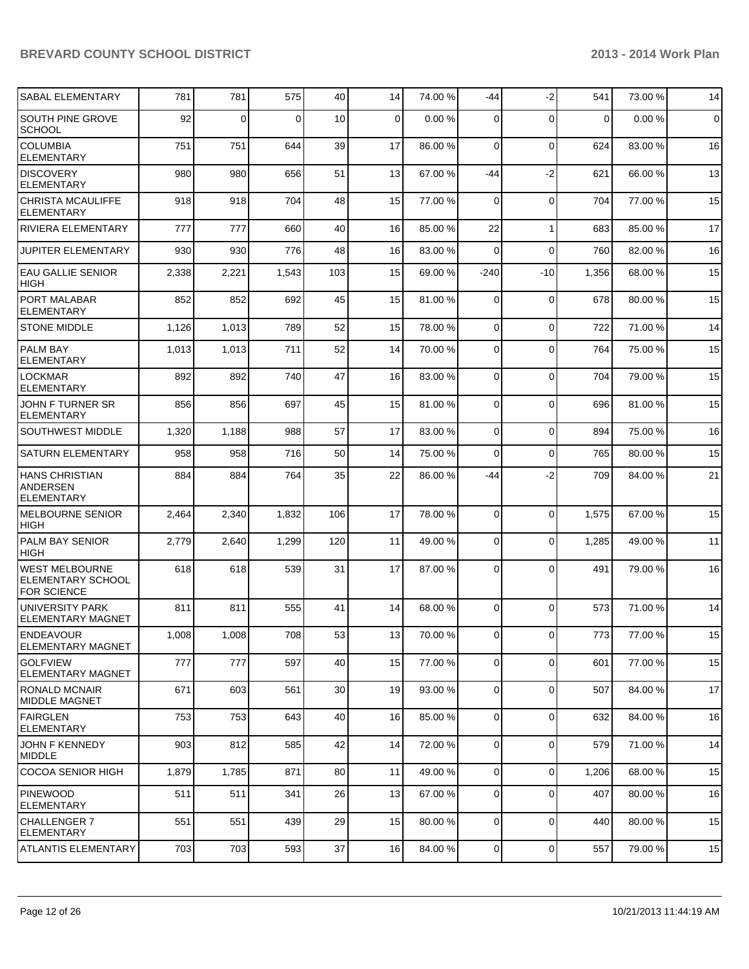| SABAL ELEMENTARY                                                 | 781   | 781   | 575      | 40  | 14 | 74.00 % | $-44$          | $-2$        | 541         | 73.00 % | 14                  |
|------------------------------------------------------------------|-------|-------|----------|-----|----|---------|----------------|-------------|-------------|---------|---------------------|
| <b>SOUTH PINE GROVE</b><br><b>SCHOOL</b>                         | 92    | 0     | $\Omega$ | 10  | 0  | 0.00%   | 0              | $\Omega$    | $\mathbf 0$ | 0.00%   | $\mathsf{O}\xspace$ |
| <b>COLUMBIA</b><br><b>ELEMENTARY</b>                             | 751   | 751   | 644      | 39  | 17 | 86.00 % | $\Omega$       | $\mathbf 0$ | 624         | 83.00 % | 16                  |
| <b>DISCOVERY</b><br><b>ELEMENTARY</b>                            | 980   | 980   | 656      | 51  | 13 | 67.00 % | $-44$          | $-2$        | 621         | 66.00 % | 13                  |
| <b>CHRISTA MCAULIFFE</b><br><b>ELEMENTARY</b>                    | 918   | 918   | 704      | 48  | 15 | 77.00 % | $\Omega$       | $\Omega$    | 704         | 77.00 % | 15                  |
| <b>RIVIERA ELEMENTARY</b>                                        | 777   | 777   | 660      | 40  | 16 | 85.00 % | 22             | 1           | 683         | 85.00 % | 17                  |
| JUPITER ELEMENTARY                                               | 930   | 930   | 776      | 48  | 16 | 83.00 % | $\Omega$       | $\Omega$    | 760         | 82.00 % | 16                  |
| <b>EAU GALLIE SENIOR</b><br><b>HIGH</b>                          | 2,338 | 2,221 | 1,543    | 103 | 15 | 69.00 % | $-240$         | $-10$       | 1,356       | 68.00 % | 15                  |
| PORT MALABAR<br><b>ELEMENTARY</b>                                | 852   | 852   | 692      | 45  | 15 | 81.00 % | $\Omega$       | $\mathbf 0$ | 678         | 80.00 % | 15                  |
| <b>STONE MIDDLE</b>                                              | 1,126 | 1,013 | 789      | 52  | 15 | 78.00 % | $\Omega$       | 0           | 722         | 71.00 % | 14                  |
| <b>PALM BAY</b><br><b>ELEMENTARY</b>                             | 1,013 | 1,013 | 711      | 52  | 14 | 70.00 % | $\Omega$       | $\Omega$    | 764         | 75.00 % | 15                  |
| <b>LOCKMAR</b><br><b>ELEMENTARY</b>                              | 892   | 892   | 740      | 47  | 16 | 83.00 % | $\Omega$       | $\Omega$    | 704         | 79.00 % | 15                  |
| JOHN F TURNER SR<br><b>ELEMENTARY</b>                            | 856   | 856   | 697      | 45  | 15 | 81.00 % | $\Omega$       | $\Omega$    | 696         | 81.00 % | 15                  |
| <b>SOUTHWEST MIDDLE</b>                                          | 1,320 | 1,188 | 988      | 57  | 17 | 83.00 % | $\Omega$       | 0           | 894         | 75.00 % | 16                  |
| <b>SATURN ELEMENTARY</b>                                         | 958   | 958   | 716      | 50  | 14 | 75.00 % | $\Omega$       | $\mathbf 0$ | 765         | 80.00 % | 15                  |
| <b>HANS CHRISTIAN</b><br><b>ANDERSEN</b><br><b>ELEMENTARY</b>    | 884   | 884   | 764      | 35  | 22 | 86.00 % | -44            | $-2$        | 709         | 84.00 % | 21                  |
| <b>MELBOURNE SENIOR</b><br><b>HIGH</b>                           | 2,464 | 2,340 | 1,832    | 106 | 17 | 78.00 % | $\Omega$       | $\Omega$    | 1,575       | 67.00 % | 15                  |
| <b>PALM BAY SENIOR</b><br><b>HIGH</b>                            | 2,779 | 2,640 | 1,299    | 120 | 11 | 49.00 % | $\Omega$       | $\Omega$    | 1,285       | 49.00 % | 11                  |
| <b>WEST MELBOURNE</b><br>ELEMENTARY SCHOOL<br><b>FOR SCIENCE</b> | 618   | 618   | 539      | 31  | 17 | 87.00 % | $\Omega$       | $\Omega$    | 491         | 79.00 % | 16                  |
| UNIVERSITY PARK<br><b>ELEMENTARY MAGNET</b>                      | 811   | 811   | 555      | 41  | 14 | 68.00 % | $\Omega$       | $\Omega$    | 573         | 71.00 % | 14                  |
| <b>ENDEAVOUR</b><br><b>ELEMENTARY MAGNET</b>                     | 1,008 | 1,008 | 708      | 53  | 13 | 70.00 % | $\mathbf 0$    | 0           | 773         | 77.00 % | 15                  |
| <b>SOLFVIEW</b><br>ELEMENTARY MAGNET                             | 777   | 777   | 597      | 40  | 15 | 77.00 % | $\mathbf 0$    | $\mathbf 0$ | 601         | 77.00 % | 15                  |
| RONALD MCNAIR<br><b>MIDDLE MAGNET</b>                            | 671   | 603   | 561      | 30  | 19 | 93.00 % | $\mathbf 0$    | $\mathbf 0$ | 507         | 84.00 % | 17                  |
| FAIRGLEN<br><b>ELEMENTARY</b>                                    | 753   | 753   | 643      | 40  | 16 | 85.00 % | 0              | 0           | 632         | 84.00 % | 16                  |
| JOHN F KENNEDY<br>MIDDLE                                         | 903   | 812   | 585      | 42  | 14 | 72.00 % | $\mathbf 0$    | 0           | 579         | 71.00 % | 14                  |
| <b>COCOA SENIOR HIGH</b>                                         | 1,879 | 1,785 | 871      | 80  | 11 | 49.00 % | 0              | $\mathbf 0$ | 1,206       | 68.00 % | 15                  |
| <b>PINEWOOD</b><br><b>ELEMENTARY</b>                             | 511   | 511   | 341      | 26  | 13 | 67.00 % | $\mathbf 0$    | $\mathbf 0$ | 407         | 80.00 % | 16                  |
| <b>CHALLENGER 7</b><br><b>ELEMENTARY</b>                         | 551   | 551   | 439      | 29  | 15 | 80.00 % | $\mathbf 0$    | $\mathbf 0$ | 440         | 80.00 % | 15                  |
| <b>ATLANTIS ELEMENTARY</b>                                       | 703   | 703   | 593      | 37  | 16 | 84.00 % | $\overline{0}$ | 0           | 557         | 79.00 % | 15                  |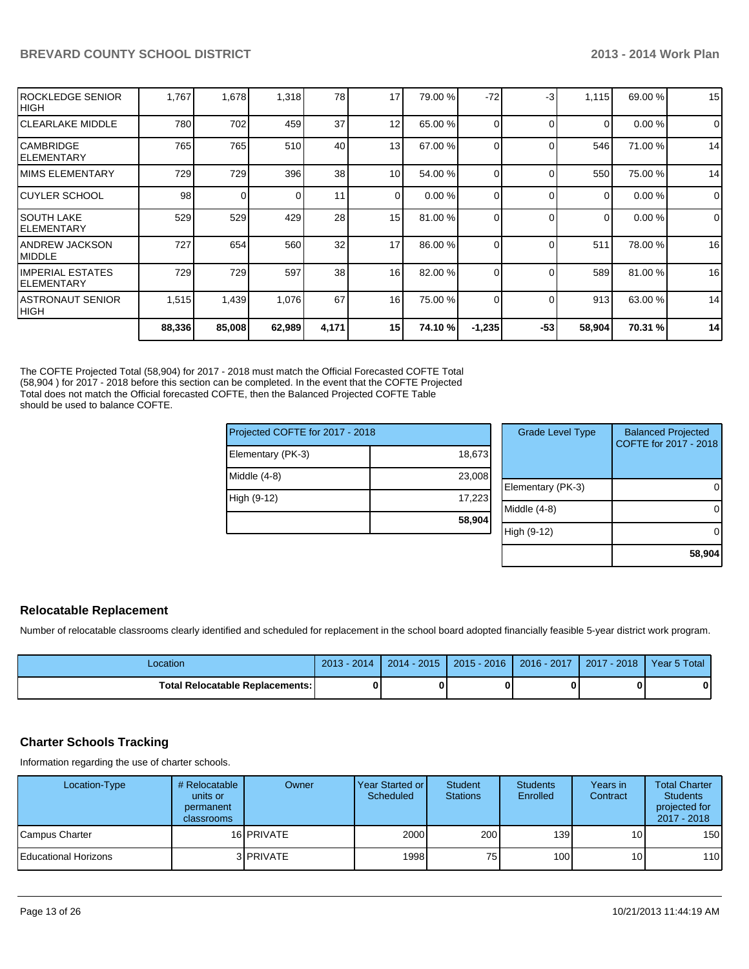| IROCKLEDGE SENIOR<br> HIGH       | 1,767  | 1,678    | 1,318  | 78    | 17              | 79.00 % | $-72$    | -3       | 1,115    | 69.00 % | 15          |
|----------------------------------|--------|----------|--------|-------|-----------------|---------|----------|----------|----------|---------|-------------|
| ICLEARLAKE MIDDLE                | 780    | 702      | 459    | 37    | 12              | 65.00 % | 0        | $\Omega$ | $\Omega$ | 0.00%   | $\mathbf 0$ |
| ICAMBRIDGE<br>IELEMENTARY        | 765    | 765      | 510    | 40    | 13              | 67.00 % | 0        |          | 546      | 71.00 % | 14          |
| IMIMS ELEMENTARY                 | 729    | 729      | 396    | 38    | 10 <sup>1</sup> | 54.00 % | 0        |          | 550      | 75.00 % | 14          |
| ICUYLER SCHOOL                   | 98     | $\Omega$ |        | 11    | $\Omega$        | 0.00%   | 0        |          | $\Omega$ | 0.00%   | $\Omega$    |
| ISOUTH LAKE<br>IELEMENTARY       | 529    | 529      | 429    | 28    | 15              | 81.00 % | 0        |          | $\Omega$ | 0.00%   | $\mathbf 0$ |
| IANDREW JACKSON<br>IMIDDLE       | 727    | 654      | 560    | 32    | 17              | 86.00 % | 0        |          | 511      | 78.00 % | 16          |
| IIMPERIAL ESTATES<br>IELEMENTARY | 729    | 729      | 597    | 38    | 16              | 82.00 % | 0        |          | 589      | 81.00 % | 16          |
| IASTRONAUT SENIOR<br> HIGH       | 1,515  | 1,439    | 1,076  | 67    | 16              | 75.00 % | 0        |          | 913      | 63.00 % | 14          |
|                                  | 88,336 | 85,008   | 62,989 | 4,171 | 15              | 74.10 % | $-1,235$ | $-53$    | 58,904   | 70.31 % | 14          |

The COFTE Projected Total (58,904) for 2017 - 2018 must match the Official Forecasted COFTE Total (58,904 ) for 2017 - 2018 before this section can be completed. In the event that the COFTE Projected Total does not match the Official forecasted COFTE, then the Balanced Projected COFTE Table should be used to balance COFTE.

| Projected COFTE for 2017 - 2018 |        | <b>Grade Level Type</b> | <b>Balanced Projected</b><br>COFTE for 2017 - 2018 |
|---------------------------------|--------|-------------------------|----------------------------------------------------|
| Elementary (PK-3)               | 18,673 |                         |                                                    |
| Middle (4-8)                    | 23,008 |                         |                                                    |
|                                 |        | Elementary (PK-3)       | O                                                  |
| High (9-12)                     | 17,223 |                         |                                                    |
|                                 |        | Middle (4-8)            | 0                                                  |
|                                 | 58,904 |                         |                                                    |
|                                 |        | High (9-12)             | Ω                                                  |
|                                 |        |                         |                                                    |

#### **Relocatable Replacement**

Number of relocatable classrooms clearly identified and scheduled for replacement in the school board adopted financially feasible 5-year district work program.

| ∟ocation                               | $2013 - 2014$ | $2014 - 2015$ | $2015 - 2016$ | 2016 - 2017   2017 - 2018 | Year 5 Total |
|----------------------------------------|---------------|---------------|---------------|---------------------------|--------------|
| <b>Total Relocatable Replacements:</b> |               |               |               |                           | n            |

#### **Charter Schools Tracking**

Information regarding the use of charter schools.

| Location-Type          | # Relocatable<br>units or<br>permanent<br>classrooms | Owner             | Year Started or I<br>Scheduled | Student<br><b>Stations</b> | <b>Students</b><br>Enrolled | Years in<br>Contract | <b>Total Charter</b><br><b>Students</b><br>projected for<br>2017 - 2018 |
|------------------------|------------------------------------------------------|-------------------|--------------------------------|----------------------------|-----------------------------|----------------------|-------------------------------------------------------------------------|
| Campus Charter         |                                                      | 16 PRIVATE        | 2000                           | 200                        | 139 <sup>l</sup>            | 10 <sup>1</sup>      | 150                                                                     |
| l Educational Horizons |                                                      | 3 <b>IPRIVATE</b> | 1998                           | 75                         | 100 <sup>1</sup>            | 10 <sup>1</sup>      | 110                                                                     |

**58,904**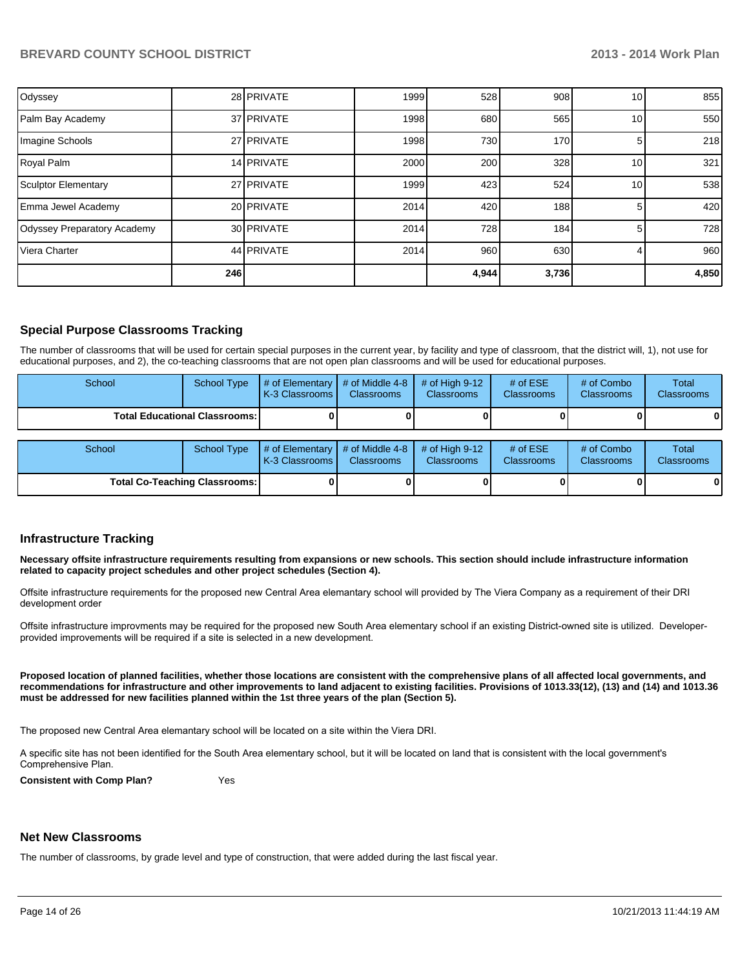| Odyssey                     |     | 28 PRIVATE | 1999 | 528   | 908 <sub>l</sub> | 10 | 855   |
|-----------------------------|-----|------------|------|-------|------------------|----|-------|
| Palm Bay Academy            |     | 37 PRIVATE | 1998 | 680   | 565              | 10 | 550   |
| Imagine Schools             |     | 27 PRIVATE | 1998 | 730   | 170              |    | 218   |
| Royal Palm                  |     | 14 PRIVATE | 2000 | 200   | 328              | 10 | 321   |
| Sculptor Elementary         |     | 27 PRIVATE | 1999 | 423   | 524              | 10 | 538   |
| Emma Jewel Academy          |     | 20 PRIVATE | 2014 | 420   | 188              | 5  | 420   |
| Odyssey Preparatory Academy |     | 30 PRIVATE | 2014 | 728   | 184              | 5  | 728   |
| Viera Charter               |     | 44 PRIVATE | 2014 | 960   | 630              |    | 960   |
|                             | 246 |            |      | 4,944 | 3,736            |    | 4,850 |

#### **Special Purpose Classrooms Tracking**

The number of classrooms that will be used for certain special purposes in the current year, by facility and type of classroom, that the district will, 1), not use for educational purposes, and 2), the co-teaching classrooms that are not open plan classrooms and will be used for educational purposes.

| School                                 | School Type | $\parallel$ # of Elementary $\parallel$ # of Middle 4-8 $\parallel$<br><b>K-3 Classrooms</b> | <b>Classrooms</b> | $\#$ of Hiah 9-12<br><b>Classrooms</b> | # of $ESE$<br><b>Classrooms</b> | $#$ of Combo<br><b>Classrooms</b> | Total<br><b>Classrooms</b> |
|----------------------------------------|-------------|----------------------------------------------------------------------------------------------|-------------------|----------------------------------------|---------------------------------|-----------------------------------|----------------------------|
| <b>Total Educational Classrooms: I</b> |             |                                                                                              |                   |                                        |                                 |                                   | 0                          |

| School                               | School Type | $\parallel$ # of Elementary $\parallel$ # of Middle 4-8 $\parallel$ # of High 9-12<br><b>IK-3 Classrooms I</b> | <b>Classrooms</b> | <b>Classrooms</b> | # of $ESE$<br><b>Classrooms</b> | # of Combo<br><b>Classrooms</b> | Total<br><b>Classrooms</b> |
|--------------------------------------|-------------|----------------------------------------------------------------------------------------------------------------|-------------------|-------------------|---------------------------------|---------------------------------|----------------------------|
| <b>Total Co-Teaching Classrooms:</b> |             |                                                                                                                |                   |                   |                                 | 0                               | 0                          |

#### **Infrastructure Tracking**

**Necessary offsite infrastructure requirements resulting from expansions or new schools. This section should include infrastructure information related to capacity project schedules and other project schedules (Section 4).**

Offsite infrastructure requirements for the proposed new Central Area elemantary school will provided by The Viera Company as a requirement of their DRI development order

Offsite infrastructure improvments may be required for the proposed new South Area elementary school if an existing District-owned site is utilized. Developerprovided improvements will be required if a site is selected in a new development.

**Proposed location of planned facilities, whether those locations are consistent with the comprehensive plans of all affected local governments, and recommendations for infrastructure and other improvements to land adjacent to existing facilities. Provisions of 1013.33(12), (13) and (14) and 1013.36 must be addressed for new facilities planned within the 1st three years of the plan (Section 5).**

The proposed new Central Area elemantary school will be located on a site within the Viera DRI.

A specific site has not been identified for the South Area elementary school, but it will be located on land that is consistent with the local government's Comprehensive Plan.

**Consistent with Comp Plan?** Yes

#### **Net New Classrooms**

The number of classrooms, by grade level and type of construction, that were added during the last fiscal year.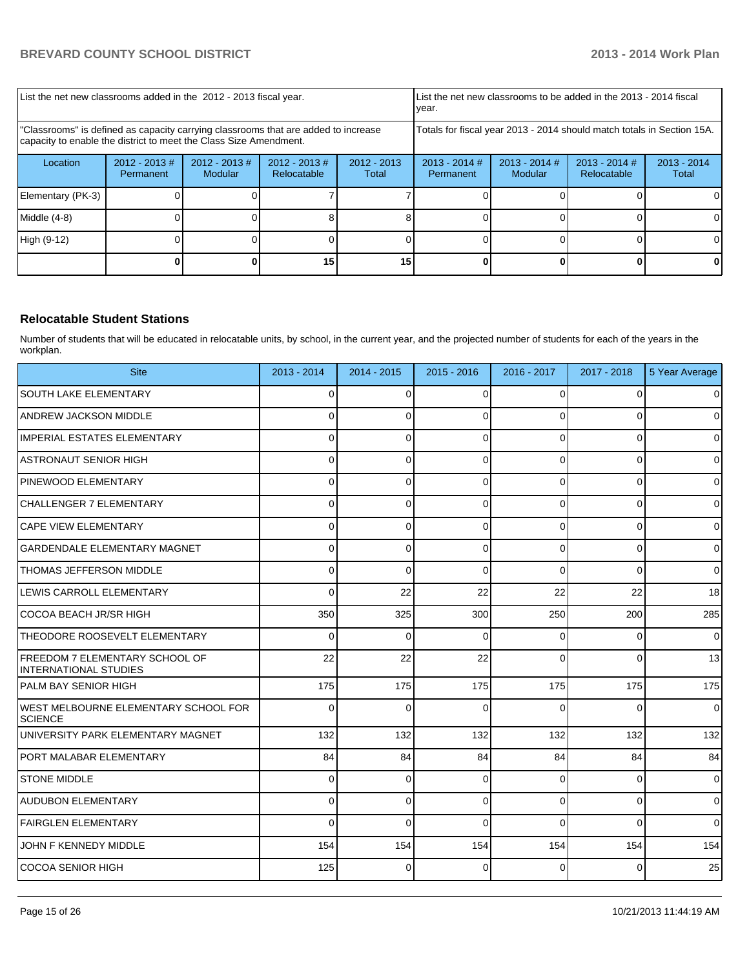| List the net new classrooms added in the 2012 - 2013 fiscal year.                                                                                       |                              |                             |                                 | List the net new classrooms to be added in the 2013 - 2014 fiscal<br>year. |                              |                            |                                |                        |
|---------------------------------------------------------------------------------------------------------------------------------------------------------|------------------------------|-----------------------------|---------------------------------|----------------------------------------------------------------------------|------------------------------|----------------------------|--------------------------------|------------------------|
| "Classrooms" is defined as capacity carrying classrooms that are added to increase<br>capacity to enable the district to meet the Class Size Amendment. |                              |                             |                                 | Totals for fiscal year 2013 - 2014 should match totals in Section 15A.     |                              |                            |                                |                        |
| Location                                                                                                                                                | $2012 - 2013$ #<br>Permanent | $2012 - 2013 \#$<br>Modular | $2012 - 2013 \#$<br>Relocatable | $2012 - 2013$<br>Total                                                     | $2013 - 2014$ #<br>Permanent | $2013 - 2014$ #<br>Modular | $2013 - 2014$ #<br>Relocatable | $2013 - 2014$<br>Total |
| Elementary (PK-3)                                                                                                                                       |                              |                             |                                 |                                                                            |                              |                            |                                |                        |
| Middle $(4-8)$                                                                                                                                          |                              |                             |                                 |                                                                            |                              |                            |                                |                        |
| High (9-12)                                                                                                                                             |                              |                             |                                 |                                                                            |                              |                            |                                | ΩI                     |
|                                                                                                                                                         |                              |                             | 15                              | 15                                                                         |                              |                            |                                |                        |

#### **Relocatable Student Stations**

Number of students that will be educated in relocatable units, by school, in the current year, and the projected number of students for each of the years in the workplan.

| <b>Site</b>                                             | 2013 - 2014    | 2014 - 2015 | $2015 - 2016$ | 2016 - 2017 | 2017 - 2018    | 5 Year Average |
|---------------------------------------------------------|----------------|-------------|---------------|-------------|----------------|----------------|
| <b>SOUTH LAKE ELEMENTARY</b>                            | 0              | $\Omega$    | $\Omega$      | $\Omega$    | $\Omega$       | $\overline{0}$ |
| <b>ANDREW JACKSON MIDDLE</b>                            | 0              | 0           | 0             | $\Omega$    | $\overline{0}$ | $\overline{0}$ |
| IMPERIAL ESTATES ELEMENTARY                             | $\Omega$       | $\Omega$    | $\Omega$      | $\Omega$    | $\Omega$       | $\Omega$       |
| ASTRONAUT SENIOR HIGH                                   | 0              | 0           | $\Omega$      | $\Omega$    | $\mathbf 0$    | $\overline{0}$ |
| PINEWOOD ELEMENTARY                                     | 0              | $\Omega$    | $\Omega$      | $\Omega$    | $\Omega$       | $\overline{0}$ |
| ICHALLENGER 7 ELEMENTARY                                | $\overline{0}$ | 0           | $\Omega$      | $\Omega$    | $\mathbf 0$    | $\overline{0}$ |
| <b>CAPE VIEW ELEMENTARY</b>                             | $\Omega$       | $\Omega$    | $\Omega$      | $\Omega$    | $\mathbf 0$    | $\overline{0}$ |
| GARDENDALE ELEMENTARY MAGNET                            | $\Omega$       | 0           | $\Omega$      | $\Omega$    | $\overline{0}$ | $\mathbf 0$    |
| <b>THOMAS JEFFERSON MIDDLE</b>                          | $\Omega$       | $\Omega$    | $\Omega$      | $\Omega$    | $\Omega$       | $\overline{0}$ |
| LEWIS CARROLL ELEMENTARY                                | $\Omega$       | 22          | 22            | 22          | 22             | 18             |
| COCOA BEACH JR/SR HIGH                                  | 350            | 325         | 300           | 250         | 200            | 285            |
| THEODORE ROOSEVELT ELEMENTARY                           | 0              | $\Omega$    | 0             | $\Omega$    | 0              | $\overline{0}$ |
| FREEDOM 7 ELEMENTARY SCHOOL OF<br>INTERNATIONAL STUDIES | 22             | 22          | 22            | $\Omega$    | $\Omega$       | 13             |
| IPALM BAY SENIOR HIGH                                   | 175            | 175         | 175           | 175         | 175            | 175            |
| IWEST MELBOURNE ELEMENTARY SCHOOL FOR<br><b>SCIENCE</b> | 0              | $\Omega$    | $\Omega$      | $\Omega$    | $\Omega$       | $\Omega$       |
| UNIVERSITY PARK ELEMENTARY MAGNET                       | 132            | 132         | 132           | 132         | 132            | 132            |
| PORT MALABAR ELEMENTARY                                 | 84             | 84          | 84            | 84          | 84             | 84             |
| <b>STONE MIDDLE</b>                                     | 0              | 0           | 0             | $\Omega$    | $\mathbf 0$    | $\overline{0}$ |
| <b>AUDUBON ELEMENTARY</b>                               | $\Omega$       | $\Omega$    | $\Omega$      | $\Omega$    | $\Omega$       | $\overline{0}$ |
| FAIRGLEN ELEMENTARY                                     | $\Omega$       | $\Omega$    | $\Omega$      | $\Omega$    | $\Omega$       | $\Omega$       |
| JOHN F KENNEDY MIDDLE                                   | 154            | 154         | 154           | 154         | 154            | 154            |
| ICOCOA SENIOR HIGH                                      | 125            | $\Omega$    | $\Omega$      | $\Omega$    | $\Omega$       | 25             |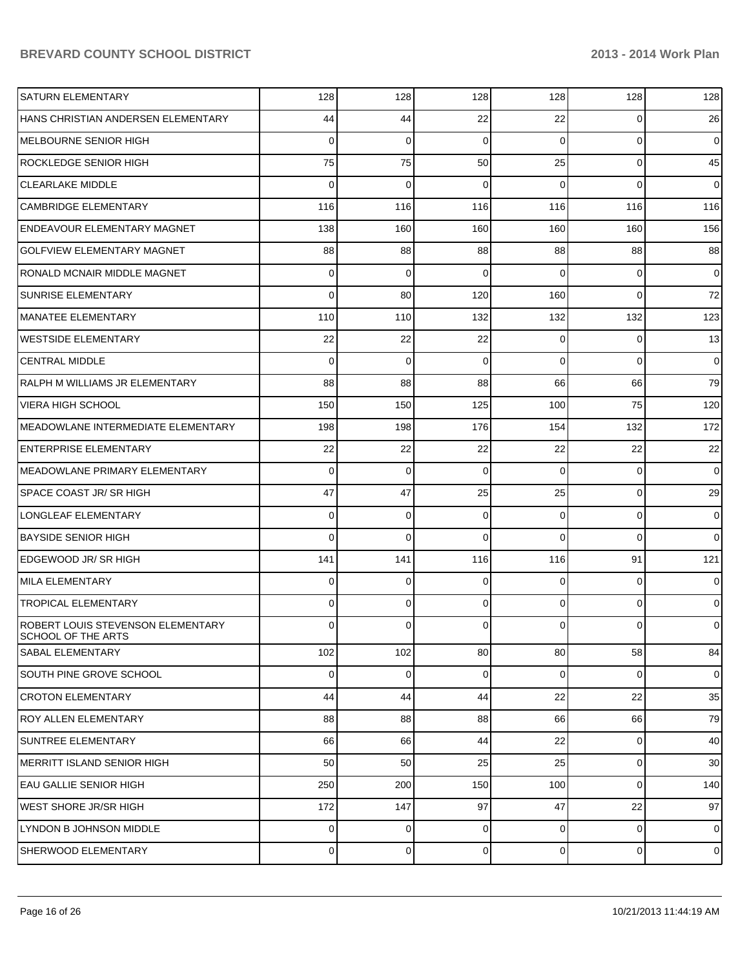| <b>SATURN ELEMENTARY</b>                                | 128            | 128         | 128      | 128            | 128         | 128            |
|---------------------------------------------------------|----------------|-------------|----------|----------------|-------------|----------------|
| HANS CHRISTIAN ANDERSEN ELEMENTARY                      | 44             | 44          | 22       | 22             | 0           | 26             |
| <b>MELBOURNE SENIOR HIGH</b>                            | 0              | $\mathbf 0$ | 0        | $\Omega$       | $\Omega$    | $\overline{0}$ |
| <b>ROCKLEDGE SENIOR HIGH</b>                            | 75             | 75          | 50       | 25             | 0           | 45             |
| <b>CLEARLAKE MIDDLE</b>                                 | 0              | 0           | 0        | $\Omega$       | $\Omega$    | $\overline{0}$ |
| <b>CAMBRIDGE ELEMENTARY</b>                             | 116            | 116         | 116      | 116            | 116         | 116            |
| <b>ENDEAVOUR ELEMENTARY MAGNET</b>                      | 138            | 160         | 160      | 160            | 160         | 156            |
| <b>GOLFVIEW ELEMENTARY MAGNET</b>                       | 88             | 88          | 88       | 88             | 88          | 88             |
| RONALD MCNAIR MIDDLE MAGNET                             | 0              | 0           | 0        | $\Omega$       | $\Omega$    | $\overline{0}$ |
| <b>SUNRISE ELEMENTARY</b>                               | 0              | 80          | 120      | 160            | $\Omega$    | 72             |
| MANATEE ELEMENTARY                                      | 110            | 110         | 132      | 132            | 132         | 123            |
| <b>WESTSIDE ELEMENTARY</b>                              | 22             | 22          | 22       | $\overline{0}$ | 0           | 13             |
| <b>CENTRAL MIDDLE</b>                                   | 0              | $\mathbf 0$ | 0        | $\Omega$       | $\Omega$    | $\overline{0}$ |
| RALPH M WILLIAMS JR ELEMENTARY                          | 88             | 88          | 88       | 66             | 66          | 79             |
| <b>VIERA HIGH SCHOOL</b>                                | 150            | 150         | 125      | 100            | 75          | 120            |
| MEADOWLANE INTERMEDIATE ELEMENTARY                      | 198            | 198         | 176      | 154            | 132         | 172            |
| <b>ENTERPRISE ELEMENTARY</b>                            | 22             | 22          | 22       | 22             | 22          | 22             |
| MEADOWLANE PRIMARY ELEMENTARY                           | 0              | $\mathbf 0$ | $\Omega$ | $\Omega$       | $\Omega$    | $\overline{0}$ |
| <b>SPACE COAST JR/ SR HIGH</b>                          | 47             | 47          | 25       | 25             | 0           | 29             |
| LONGLEAF ELEMENTARY                                     | 0              | $\mathbf 0$ | 0        | $\Omega$       | 0           | $\overline{0}$ |
| <b>BAYSIDE SENIOR HIGH</b>                              | 0              | $\mathbf 0$ | 0        | $\Omega$       | $\Omega$    | $\overline{0}$ |
| EDGEWOOD JR/SR HIGH                                     | 141            | 141         | 116      | 116            | 91          | 121            |
| <b>MILA ELEMENTARY</b>                                  | 0              | 0           | 0        | $\Omega$       | 0           | $\overline{0}$ |
| <b>TROPICAL ELEMENTARY</b>                              | 0              | 0           | 0        | $\Omega$       | $\Omega$    | $\overline{0}$ |
| ROBERT LOUIS STEVENSON ELEMENTARY<br>SCHOOL OF THE ARTS | 0              | 0           | 0        | $\Omega$       | 0           | $\overline{0}$ |
| SABAL ELEMENTARY                                        | 102            | 102         | 80       | 80             | 58          | 84             |
| <b>SOUTH PINE GROVE SCHOOL</b>                          | $\mathbf 0$    | $\mathbf 0$ | 0        | $\overline{0}$ | 0           | $\overline{0}$ |
| <b>CROTON ELEMENTARY</b>                                | 44             | 44          | 44       | 22             | 22          | 35             |
| <b>ROY ALLEN ELEMENTARY</b>                             | 88             | 88          | 88       | 66             | 66          | 79             |
| <b>SUNTREE ELEMENTARY</b>                               | 66             | 66          | 44       | 22             | 0           | 40             |
| MERRITT ISLAND SENIOR HIGH                              | 50             | 50          | 25       | 25             | $\mathbf 0$ | 30             |
| EAU GALLIE SENIOR HIGH                                  | 250            | 200         | 150      | 100            | 0           | 140            |
| <b>WEST SHORE JR/SR HIGH</b>                            | 172            | 147         | 97       | 47             | 22          | 97             |
| LYNDON B JOHNSON MIDDLE                                 | $\overline{0}$ | $\mathbf 0$ | 0        | $\overline{0}$ | 0           | $\overline{0}$ |
| SHERWOOD ELEMENTARY                                     | $\overline{0}$ | 0           | 0        | $\overline{0}$ | 0           | $\overline{0}$ |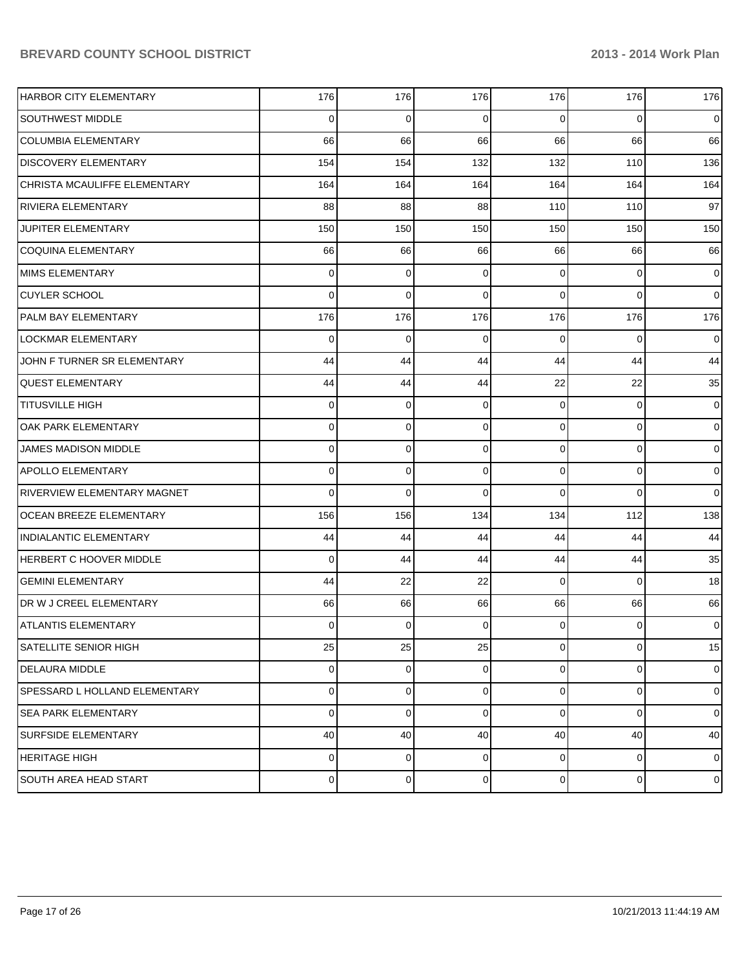| <b>HARBOR CITY ELEMENTARY</b>        | 176      | 176            | 176            | 176            | 176         | 176            |
|--------------------------------------|----------|----------------|----------------|----------------|-------------|----------------|
| <b>SOUTHWEST MIDDLE</b>              | 0        | 0              | $\Omega$       | 0              | $\Omega$    | $\overline{0}$ |
| <b>COLUMBIA ELEMENTARY</b>           | 66       | 66             | 66             | 66             | 66          | 66             |
| <b>DISCOVERY ELEMENTARY</b>          | 154      | 154            | 132            | 132            | 110         | 136            |
| CHRISTA MCAULIFFE ELEMENTARY         | 164      | 164            | 164            | 164            | 164         | 164            |
| <b>RIVIERA ELEMENTARY</b>            | 88       | 88             | 88             | 110            | 110         | 97             |
| <b>JUPITER ELEMENTARY</b>            | 150      | 150            | 150            | 150            | 150         | 150            |
| COQUINA ELEMENTARY                   | 66       | 66             | 66             | 66             | 66          | 66             |
| MIMS ELEMENTARY                      | 0        | 0              | 0              | $\Omega$       | 0           | $\overline{0}$ |
| <b>CUYLER SCHOOL</b>                 | $\Omega$ | $\mathbf 0$    | $\Omega$       | $\Omega$       | $\Omega$    | $\overline{0}$ |
| PALM BAY ELEMENTARY                  | 176      | 176            | 176            | 176            | 176         | 176            |
| LOCKMAR ELEMENTARY                   | 0        | $\mathbf 0$    | 0              | $\Omega$       | $\Omega$    | $\overline{0}$ |
| JOHN F TURNER SR ELEMENTARY          | 44       | 44             | 44             | 44             | 44          | 44             |
| <b>QUEST ELEMENTARY</b>              | 44       | 44             | 44             | 22             | 22          | 35             |
| <b>TITUSVILLE HIGH</b>               | 0        | 0              | 0              | $\Omega$       | 0           | $\overline{0}$ |
| OAK PARK ELEMENTARY                  | 0        | $\mathbf 0$    | 0              | $\Omega$       | $\mathbf 0$ | $\overline{0}$ |
| JAMES MADISON MIDDLE                 | 0        | 0              | 0              | $\Omega$       | $\mathbf 0$ | $\overline{0}$ |
| <b>APOLLO ELEMENTARY</b>             | 0        | $\mathbf 0$    | 0              | $\Omega$       | $\mathbf 0$ | $\overline{0}$ |
| <b>RIVERVIEW ELEMENTARY MAGNET</b>   | $\Omega$ | $\Omega$       | $\Omega$       | $\Omega$       | $\Omega$    | $\overline{0}$ |
| OCEAN BREEZE ELEMENTARY              | 156      | 156            | 134            | 134            | 112         | 138            |
| <b>INDIALANTIC ELEMENTARY</b>        | 44       | 44             | 44             | 44             | 44          | 44             |
| <b>HERBERT C HOOVER MIDDLE</b>       | $\Omega$ | 44             | 44             | 44             | 44          | 35             |
| <b>GEMINI ELEMENTARY</b>             | 44       | 22             | 22             | $\Omega$       | $\Omega$    | 18             |
| DR W J CREEL ELEMENTARY              | 66       | 66             | 66             | 66             | 66          | 66             |
| <b>ATLANTIS ELEMENTARY</b>           | 0        | 0              | $\Omega$       | 0              | $\Omega$    | $\overline{0}$ |
| SATELLITE SENIOR HIGH                | 25       | 25             | 25             | $\overline{0}$ | $\mathbf 0$ | 15             |
| DELAURA MIDDLE                       | 0        | $\overline{0}$ | $\overline{0}$ | $\overline{0}$ | 0           | $\overline{0}$ |
| <b>SPESSARD L HOLLAND ELEMENTARY</b> | 0        | $\mathbf 0$    | $\overline{0}$ | $\overline{0}$ | $\mathbf 0$ | $\overline{0}$ |
| <b>SEA PARK ELEMENTARY</b>           | 0        | $\mathbf 0$    | 0              | $\Omega$       | $\Omega$    | $\overline{0}$ |
| <b>SURFSIDE ELEMENTARY</b>           | 40       | 40             | 40             | 40             | 40          | 40             |
| <b>HERITAGE HIGH</b>                 | 0        | $\mathbf 0$    | $\overline{0}$ | $\overline{0}$ | 0           | $\overline{0}$ |
| <b>SOUTH AREA HEAD START</b>         | 0        | 0              | 0              | $\overline{0}$ | 0           | $\mathbf 0$    |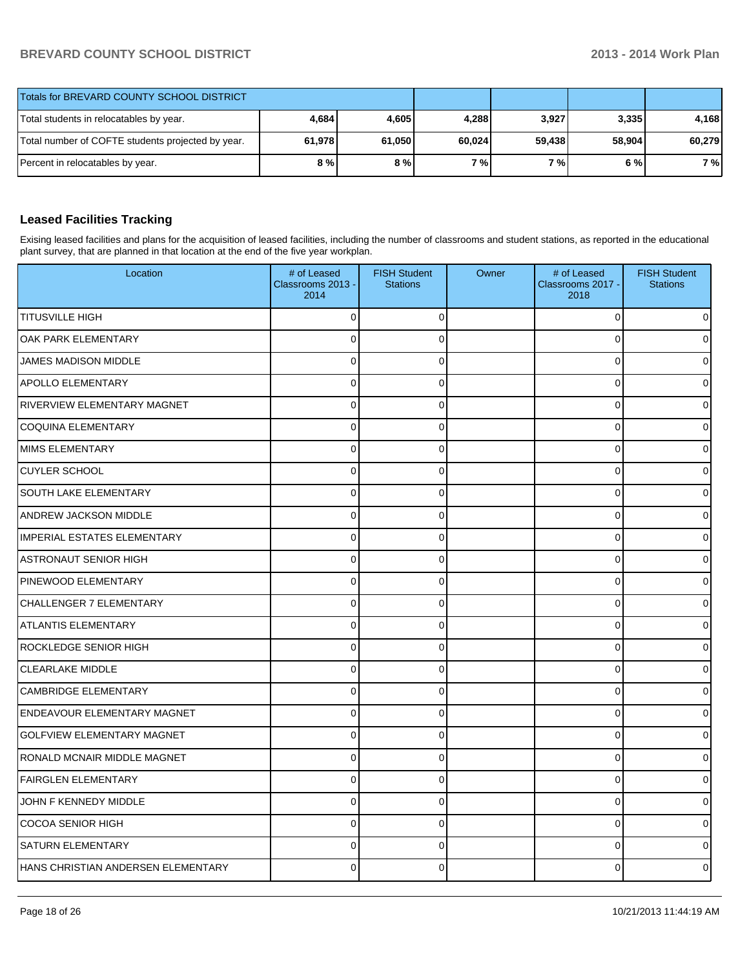| Totals for BREVARD COUNTY SCHOOL DISTRICT         |        |        |        |           |        |        |
|---------------------------------------------------|--------|--------|--------|-----------|--------|--------|
| Total students in relocatables by year.           | 4,684  | 4,605  | 4.288  | 3,927     | 3,335  | 4.168  |
| Total number of COFTE students projected by year. | 61,978 | 61,050 | 60,024 | 59,438    | 58.904 | 60,279 |
| Percent in relocatables by year.                  | 8 % l  | 8%     | 7%     | <b>7%</b> | 6%     | 7 %    |

### **Leased Facilities Tracking**

Exising leased facilities and plans for the acquisition of leased facilities, including the number of classrooms and student stations, as reported in the educational plant survey, that are planned in that location at the end of the five year workplan.

| Location                           | # of Leased<br>Classrooms 2013 -<br>2014 | <b>FISH Student</b><br><b>Stations</b> | Owner | # of Leased<br>Classrooms 2017 -<br>2018 | <b>FISH Student</b><br><b>Stations</b> |
|------------------------------------|------------------------------------------|----------------------------------------|-------|------------------------------------------|----------------------------------------|
| <b>TITUSVILLE HIGH</b>             | 0                                        | 0                                      |       | 0                                        |                                        |
| OAK PARK ELEMENTARY                | 0                                        | $\Omega$                               |       | $\mathbf 0$                              |                                        |
| <b>JAMES MADISON MIDDLE</b>        | 0                                        | $\Omega$                               |       | $\mathbf 0$                              |                                        |
| <b>APOLLO ELEMENTARY</b>           | $\pmb{0}$                                | $\Omega$                               |       | 0                                        |                                        |
| RIVERVIEW ELEMENTARY MAGNET        | 0                                        | 0                                      |       | $\mathbf 0$                              |                                        |
| <b>COQUINA ELEMENTARY</b>          | 0                                        | 0                                      |       | $\mathbf 0$                              |                                        |
| <b>MIMS ELEMENTARY</b>             | $\mathbf 0$                              | $\Omega$                               |       | $\mathbf 0$                              |                                        |
| <b>CUYLER SCHOOL</b>               | 0                                        | 0                                      |       | 0                                        |                                        |
| <b>SOUTH LAKE ELEMENTARY</b>       | 0                                        | 0                                      |       | $\mathbf 0$                              |                                        |
| <b>ANDREW JACKSON MIDDLE</b>       | $\mathbf 0$                              | 0                                      |       | $\mathbf 0$                              |                                        |
| <b>IMPERIAL ESTATES ELEMENTARY</b> | 0                                        | 0                                      |       | $\mathbf 0$                              |                                        |
| <b>ASTRONAUT SENIOR HIGH</b>       | 0                                        | 0                                      |       | $\mathbf 0$                              |                                        |
| PINEWOOD ELEMENTARY                | $\mathbf 0$                              | $\Omega$                               |       | $\mathbf 0$                              |                                        |
| CHALLENGER 7 ELEMENTARY            | 0                                        | 0                                      |       | 0                                        |                                        |
| <b>ATLANTIS ELEMENTARY</b>         | 0                                        | 0                                      |       | $\mathbf 0$                              |                                        |
| ROCKLEDGE SENIOR HIGH              | $\mathbf 0$                              | 0                                      |       | $\mathbf 0$                              |                                        |
| <b>CLEARLAKE MIDDLE</b>            | 0                                        | $\overline{0}$                         |       | $\mathbf 0$                              |                                        |
| <b>CAMBRIDGE ELEMENTARY</b>        | 0                                        | 0                                      |       | $\mathbf 0$                              |                                        |
| <b>ENDEAVOUR ELEMENTARY MAGNET</b> | $\mathbf 0$                              | 0                                      |       | $\mathbf 0$                              |                                        |
| <b>GOLFVIEW ELEMENTARY MAGNET</b>  | 0                                        | $\overline{0}$                         |       | $\mathbf 0$                              |                                        |
| RONALD MCNAIR MIDDLE MAGNET        | 0                                        | 0                                      |       | $\mathbf 0$                              |                                        |
| <b>FAIRGLEN ELEMENTARY</b>         | $\mathbf 0$                              | 0                                      |       | $\mathbf 0$                              |                                        |
| JOHN F KENNEDY MIDDLE              | 0                                        | $\overline{0}$                         |       | $\mathbf 0$                              |                                        |
| <b>COCOA SENIOR HIGH</b>           | $\overline{0}$                           | $\Omega$                               |       | $\mathbf{0}$                             |                                        |
| <b>SATURN ELEMENTARY</b>           | 0                                        | $\Omega$                               |       | $\mathbf 0$                              |                                        |
| HANS CHRISTIAN ANDERSEN ELEMENTARY | 0                                        | $\Omega$                               |       | $\Omega$                                 |                                        |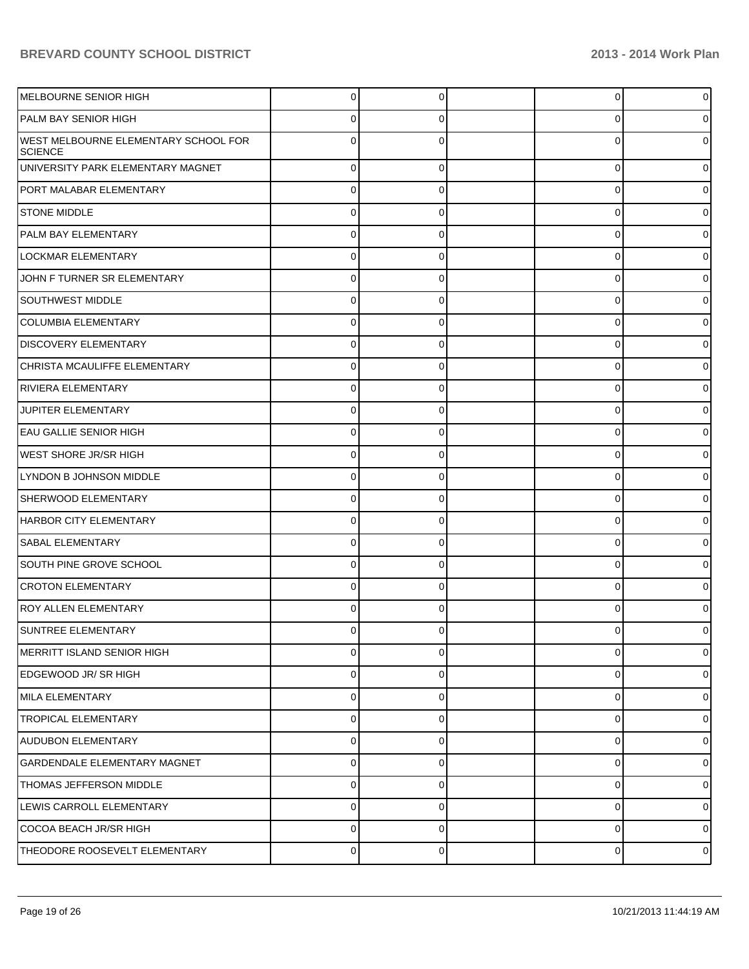| MELBOURNE SENIOR HIGH                                  | 0           | 0 | 0 | 0 |
|--------------------------------------------------------|-------------|---|---|---|
| PALM BAY SENIOR HIGH                                   | 0           | 0 | 0 |   |
| WEST MELBOURNE ELEMENTARY SCHOOL FOR<br><b>SCIENCE</b> | 0           | ∩ | 0 |   |
| UNIVERSITY PARK ELEMENTARY MAGNET                      | $\mathbf 0$ | 0 | 0 | 0 |
| PORT MALABAR ELEMENTARY                                | $\mathbf 0$ | 0 | 0 | 0 |
| <b>STONE MIDDLE</b>                                    | $\mathbf 0$ | 0 | 0 | 0 |
| PALM BAY ELEMENTARY                                    | $\mathbf 0$ | 0 | 0 | 0 |
| LOCKMAR ELEMENTARY                                     | $\mathbf 0$ | 0 | 0 | 0 |
| JOHN F TURNER SR ELEMENTARY                            | $\mathbf 0$ | 0 | 0 | 0 |
| SOUTHWEST MIDDLE                                       | $\mathbf 0$ | 0 | 0 |   |
| <b>COLUMBIA ELEMENTARY</b>                             | $\mathbf 0$ | 0 | 0 | 0 |
| <b>DISCOVERY ELEMENTARY</b>                            | $\mathbf 0$ | 0 | 0 | 0 |
| CHRISTA MCAULIFFE ELEMENTARY                           | $\mathbf 0$ | 0 | 0 | 0 |
| RIVIERA ELEMENTARY                                     | $\mathbf 0$ | 0 | 0 |   |
| <b>JUPITER ELEMENTARY</b>                              | $\mathbf 0$ | 0 | 0 | 0 |
| <b>EAU GALLIE SENIOR HIGH</b>                          | $\mathbf 0$ | 0 | 0 | 0 |
| <b>WEST SHORE JR/SR HIGH</b>                           | $\mathbf 0$ | 0 | 0 | 0 |
| LYNDON B JOHNSON MIDDLE                                | $\mathbf 0$ | 0 | 0 |   |
| SHERWOOD ELEMENTARY                                    | $\mathbf 0$ | 0 | 0 | 0 |
| HARBOR CITY ELEMENTARY                                 | $\mathbf 0$ | 0 | 0 | 0 |
| <b>SABAL ELEMENTARY</b>                                | $\mathbf 0$ | 0 | 0 | 0 |
| SOUTH PINE GROVE SCHOOL                                | 0           | 0 | 0 | 0 |
| <b>CROTON ELEMENTARY</b>                               | $\mathbf 0$ | 0 | 0 | 0 |
| <b>ROY ALLEN ELEMENTARY</b>                            | 0           | 0 | 0 |   |
| SUNTREE ELEMENTARY                                     | 0           | 0 | 0 | 0 |
| MERRITT ISLAND SENIOR HIGH                             | $\mathbf 0$ | 0 | 0 | 0 |
| EDGEWOOD JR/ SR HIGH                                   | $\pmb{0}$   | 0 | 0 | 0 |
| MILA ELEMENTARY                                        | $\pmb{0}$   | 0 | 0 | 0 |
| <b>TROPICAL ELEMENTARY</b>                             | $\pmb{0}$   | 0 | 0 | 0 |
| <b>AUDUBON ELEMENTARY</b>                              | $\pmb{0}$   | 0 | 0 | 0 |
| <b>GARDENDALE ELEMENTARY MAGNET</b>                    | $\pmb{0}$   | 0 | 0 | 0 |
| <b>THOMAS JEFFERSON MIDDLE</b>                         | $\pmb{0}$   | 0 | 0 | 0 |
| LEWIS CARROLL ELEMENTARY                               | $\pmb{0}$   | 0 | 0 | 0 |
| COCOA BEACH JR/SR HIGH                                 | $\mathbf 0$ | 0 | 0 | 0 |
| THEODORE ROOSEVELT ELEMENTARY                          | $\pmb{0}$   | 0 | 0 | 0 |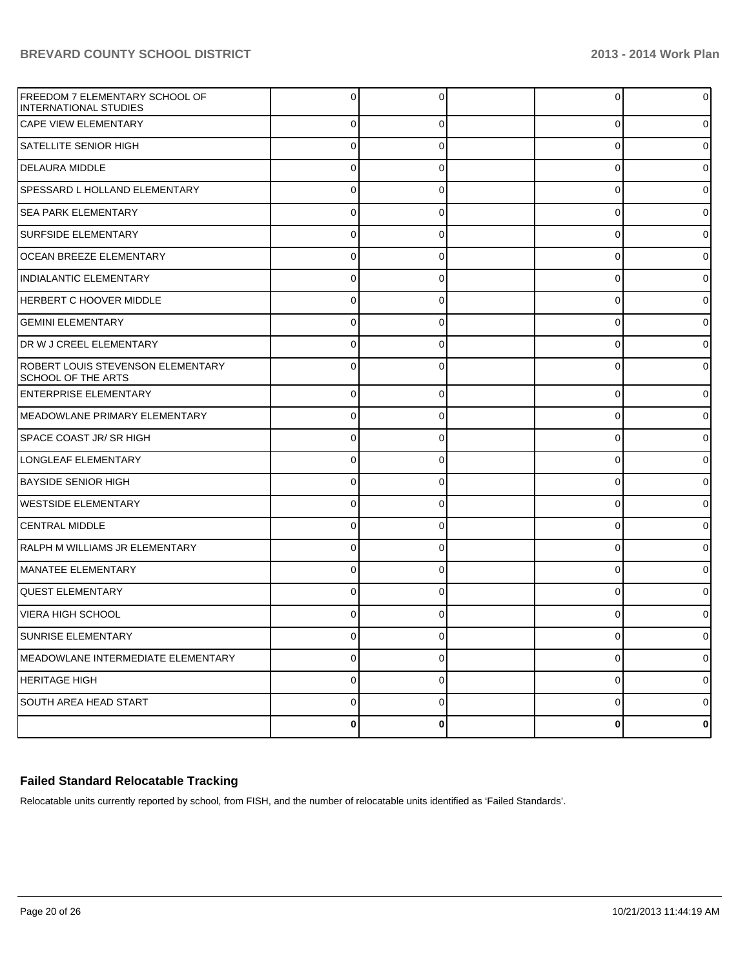| <b>FREEDOM 7 ELEMENTARY SCHOOL OF</b><br><b>IINTERNATIONAL STUDIES</b> | $\Omega$ | 0           | 0           | $\Omega$ |
|------------------------------------------------------------------------|----------|-------------|-------------|----------|
| <b>CAPE VIEW ELEMENTARY</b>                                            | 0        | $\mathbf 0$ | 0           | 0        |
| SATELLITE SENIOR HIGH                                                  | 0        | 0           | 0           | 0        |
| <b>DELAURA MIDDLE</b>                                                  | 0        | 0           | 0           | 0        |
| SPESSARD L HOLLAND ELEMENTARY                                          | 0        | 0           | 0           | 0        |
| <b>SEA PARK ELEMENTARY</b>                                             | 0        | 0           | 0           | 0        |
| <b>SURFSIDE ELEMENTARY</b>                                             | 0        | 0           | 0           | 0        |
| <b>OCEAN BREEZE ELEMENTARY</b>                                         | 0        | 0           | $\mathbf 0$ | 0        |
| INDIALANTIC ELEMENTARY                                                 | 0        | 0           | 0           | 0        |
| <b>HERBERT C HOOVER MIDDLE</b>                                         | 0        | 0           | 0           | 0        |
| <b>GEMINI ELEMENTARY</b>                                               | 0        | 0           | 0           | 0        |
| DR W J CREEL ELEMENTARY                                                | 0        | 0           | 0           | 0        |
| ROBERT LOUIS STEVENSON ELEMENTARY<br>SCHOOL OF THE ARTS                | $\Omega$ | 0           | 0           | 0        |
| <b>ENTERPRISE ELEMENTARY</b>                                           | $\Omega$ | $\Omega$    | $\mathbf 0$ | $\Omega$ |
| MEADOWLANE PRIMARY ELEMENTARY                                          | $\Omega$ | $\Omega$    | $\mathbf 0$ | o        |
| SPACE COAST JR/ SR HIGH                                                | $\Omega$ | 0           | 0           |          |
| LONGLEAF ELEMENTARY                                                    | 0        | $\Omega$    | 0           | o        |
| <b>BAYSIDE SENIOR HIGH</b>                                             | $\Omega$ | $\Omega$    | 0           | o        |
| <b>WESTSIDE ELEMENTARY</b>                                             | $\Omega$ | $\Omega$    | $\mathbf 0$ | o        |
| CENTRAL MIDDLE                                                         | $\Omega$ | $\Omega$    | 0           |          |
| RALPH M WILLIAMS JR ELEMENTARY                                         | 0        | $\Omega$    | 0           | o        |
| MANATEE ELEMENTARY                                                     | $\Omega$ | 0           | 0           | o        |
| <b>QUEST ELEMENTARY</b>                                                | $\Omega$ | $\Omega$    | $\mathbf 0$ | o        |
| VIERA HIGH SCHOOL                                                      |          | $\Omega$    | $\Omega$    |          |
| SUNRISE ELEMENTARY                                                     |          |             |             |          |
| MEADOWLANE INTERMEDIATE ELEMENTARY                                     | $\Omega$ | $\Omega$    | 0           | 0        |
| HERITAGE HIGH                                                          | $\Omega$ | $\Omega$    | 0           | 0        |
| SOUTH AREA HEAD START                                                  | 0        | $\mathbf 0$ | 0           | 0        |
|                                                                        | 0        | 0           | 0           | 0        |

### **Failed Standard Relocatable Tracking**

Relocatable units currently reported by school, from FISH, and the number of relocatable units identified as 'Failed Standards'.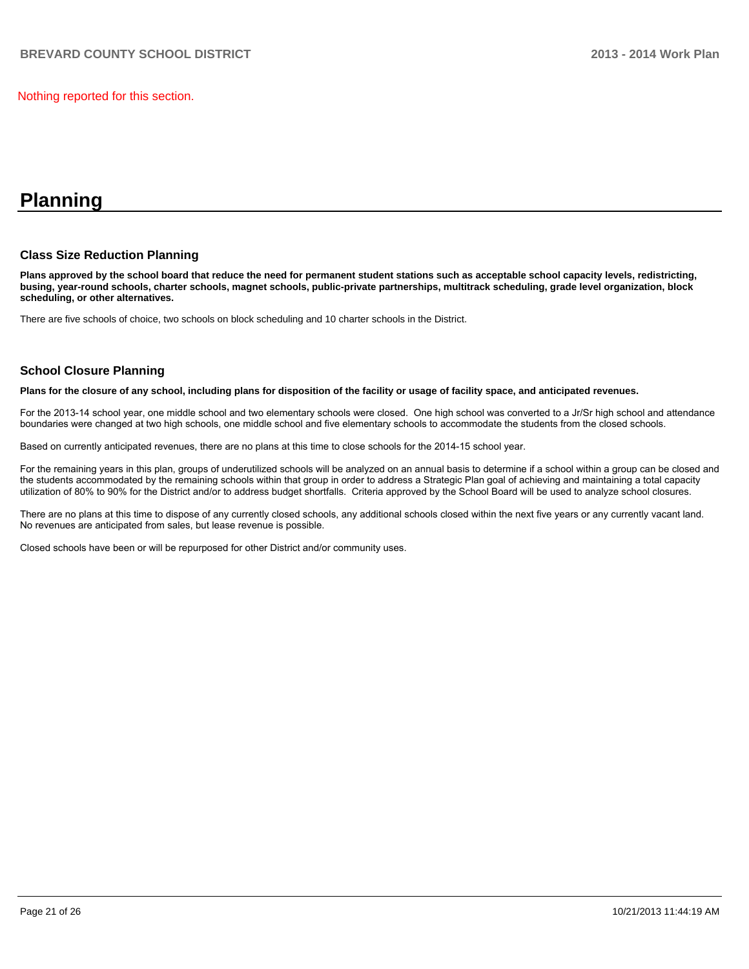Nothing reported for this section.

## **Planning**

#### **Class Size Reduction Planning**

**Plans approved by the school board that reduce the need for permanent student stations such as acceptable school capacity levels, redistricting, busing, year-round schools, charter schools, magnet schools, public-private partnerships, multitrack scheduling, grade level organization, block scheduling, or other alternatives.**

There are five schools of choice, two schools on block scheduling and 10 charter schools in the District.

#### **School Closure Planning**

**Plans for the closure of any school, including plans for disposition of the facility or usage of facility space, and anticipated revenues.**

For the 2013-14 school year, one middle school and two elementary schools were closed. One high school was converted to a Jr/Sr high school and attendance boundaries were changed at two high schools, one middle school and five elementary schools to accommodate the students from the closed schools.

Based on currently anticipated revenues, there are no plans at this time to close schools for the 2014-15 school year.

For the remaining years in this plan, groups of underutilized schools will be analyzed on an annual basis to determine if a school within a group can be closed and the students accommodated by the remaining schools within that group in order to address a Strategic Plan goal of achieving and maintaining a total capacity utilization of 80% to 90% for the District and/or to address budget shortfalls. Criteria approved by the School Board will be used to analyze school closures.

There are no plans at this time to dispose of any currently closed schools, any additional schools closed within the next five years or any currently yacant land. No revenues are anticipated from sales, but lease revenue is possible.

Closed schools have been or will be repurposed for other District and/or community uses.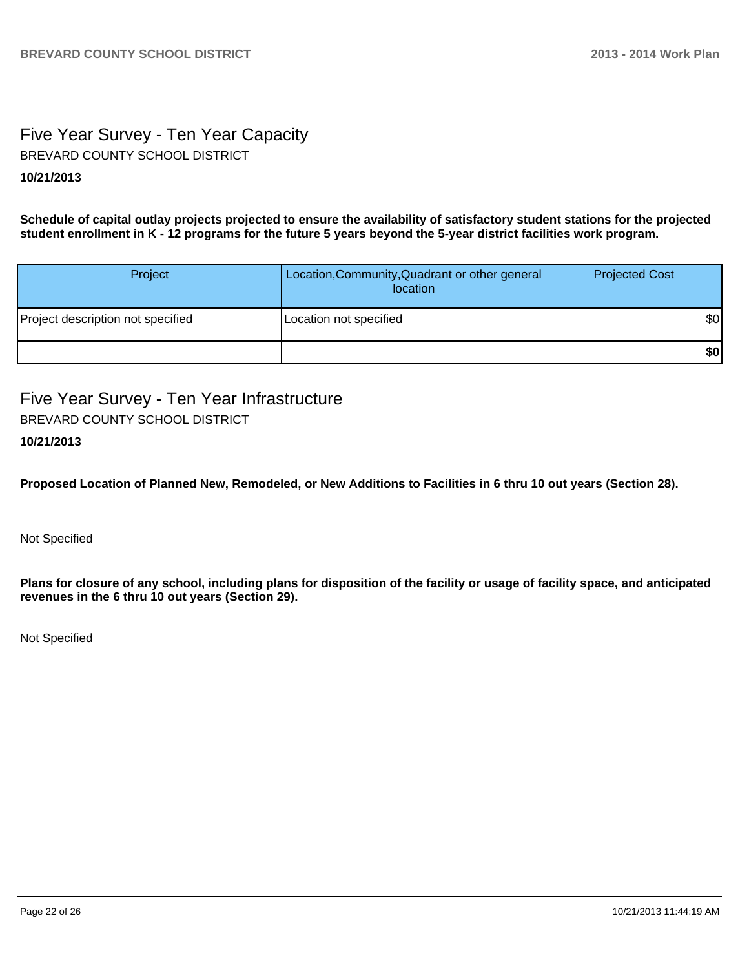## Five Year Survey - Ten Year Capacity BREVARD COUNTY SCHOOL DISTRICT

#### **10/21/2013**

**Schedule of capital outlay projects projected to ensure the availability of satisfactory student stations for the projected student enrollment in K - 12 programs for the future 5 years beyond the 5-year district facilities work program.**

| Project                           | Location, Community, Quadrant or other general<br>location | <b>Projected Cost</b> |
|-----------------------------------|------------------------------------------------------------|-----------------------|
| Project description not specified | Location not specified                                     | \$0                   |
|                                   |                                                            | \$0                   |

Five Year Survey - Ten Year Infrastructure BREVARD COUNTY SCHOOL DISTRICT

#### **10/21/2013**

**Proposed Location of Planned New, Remodeled, or New Additions to Facilities in 6 thru 10 out years (Section 28).**

Not Specified

**Plans for closure of any school, including plans for disposition of the facility or usage of facility space, and anticipated revenues in the 6 thru 10 out years (Section 29).**

Not Specified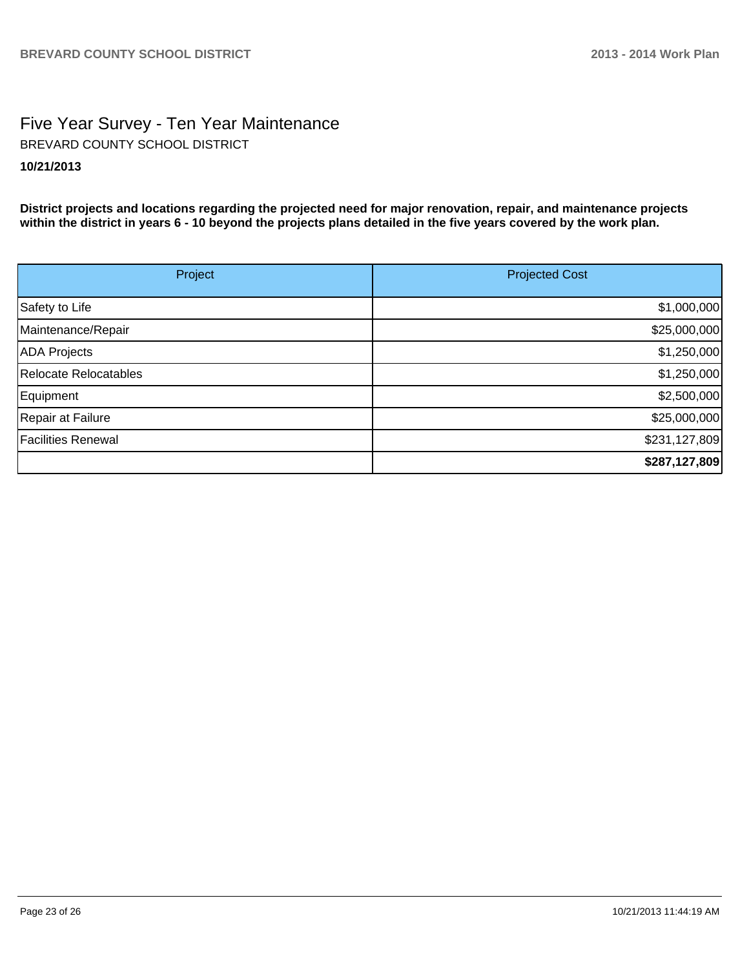## Five Year Survey - Ten Year Maintenance **10/21/2013** BREVARD COUNTY SCHOOL DISTRICT

**District projects and locations regarding the projected need for major renovation, repair, and maintenance projects within the district in years 6 - 10 beyond the projects plans detailed in the five years covered by the work plan.**

| Project                   | <b>Projected Cost</b> |
|---------------------------|-----------------------|
| Safety to Life            | \$1,000,000           |
| Maintenance/Repair        | \$25,000,000          |
| <b>ADA Projects</b>       | \$1,250,000           |
| Relocate Relocatables     | \$1,250,000           |
| Equipment                 | \$2,500,000           |
| Repair at Failure         | \$25,000,000          |
| <b>Facilities Renewal</b> | \$231,127,809         |
|                           | \$287,127,809         |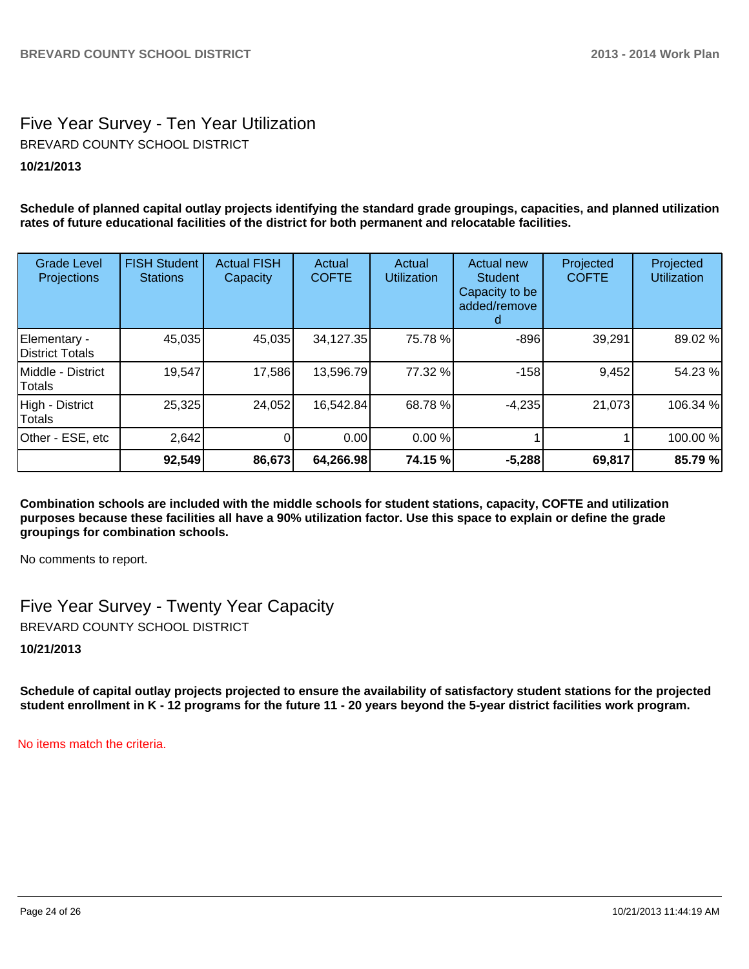## Five Year Survey - Ten Year Utilization BREVARD COUNTY SCHOOL DISTRICT

#### **10/21/2013**

**Schedule of planned capital outlay projects identifying the standard grade groupings, capacities, and planned utilization rates of future educational facilities of the district for both permanent and relocatable facilities.**

| Grade Level<br>Projections      | <b>FISH Student</b><br><b>Stations</b> | <b>Actual FISH</b><br>Capacity | Actual<br><b>COFTE</b> | Actual<br><b>Utilization</b> | Actual new<br><b>Student</b><br>Capacity to be<br>added/remove | Projected<br><b>COFTE</b> | Projected<br><b>Utilization</b> |
|---------------------------------|----------------------------------------|--------------------------------|------------------------|------------------------------|----------------------------------------------------------------|---------------------------|---------------------------------|
| Elementary -<br>District Totals | 45,035                                 | 45,035                         | 34,127.35              | 75.78%                       | $-896$                                                         | 39,291                    | 89.02 %                         |
| IMiddle - District<br>lTotals   | 19,547                                 | 17,586                         | 13,596.79              | 77.32 %                      | $-158$                                                         | 9,452                     | 54.23 %                         |
| High - District<br>Totals       | 25,325                                 | 24,052                         | 16,542.84              | 68.78%                       | $-4,235$                                                       | 21,073                    | 106.34 %                        |
| Other - ESE, etc                | 2,642                                  |                                | 0.00                   | 0.00%                        |                                                                |                           | 100.00 %                        |
|                                 | 92,549                                 | 86,673                         | 64,266.98              | 74.15 %                      | $-5,288$                                                       | 69,817                    | 85.79 %                         |

**Combination schools are included with the middle schools for student stations, capacity, COFTE and utilization purposes because these facilities all have a 90% utilization factor. Use this space to explain or define the grade groupings for combination schools.**

No comments to report.

Five Year Survey - Twenty Year Capacity BREVARD COUNTY SCHOOL DISTRICT

**10/21/2013**

**Schedule of capital outlay projects projected to ensure the availability of satisfactory student stations for the projected student enrollment in K - 12 programs for the future 11 - 20 years beyond the 5-year district facilities work program.**

No items match the criteria.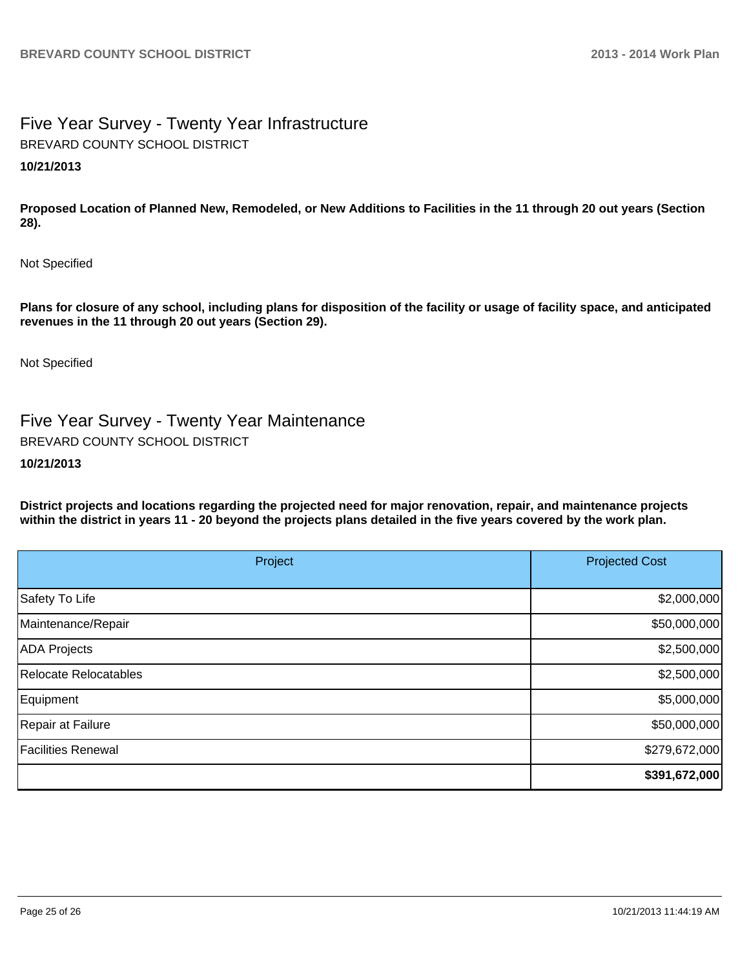# Five Year Survey - Twenty Year Infrastructure BREVARD COUNTY SCHOOL DISTRICT

### **10/21/2013**

**Proposed Location of Planned New, Remodeled, or New Additions to Facilities in the 11 through 20 out years (Section 28).**

Not Specified

**Plans for closure of any school, including plans for disposition of the facility or usage of facility space, and anticipated revenues in the 11 through 20 out years (Section 29).**

Not Specified

Five Year Survey - Twenty Year Maintenance BREVARD COUNTY SCHOOL DISTRICT

#### **10/21/2013**

**District projects and locations regarding the projected need for major renovation, repair, and maintenance projects within the district in years 11 - 20 beyond the projects plans detailed in the five years covered by the work plan.**

| Project                   | <b>Projected Cost</b> |
|---------------------------|-----------------------|
| Safety To Life            | \$2,000,000           |
| Maintenance/Repair        | \$50,000,000          |
| ADA Projects              | \$2,500,000           |
| Relocate Relocatables     | \$2,500,000           |
| Equipment                 | \$5,000,000           |
| Repair at Failure         | \$50,000,000          |
| <b>Facilities Renewal</b> | \$279,672,000         |
|                           | \$391,672,000         |